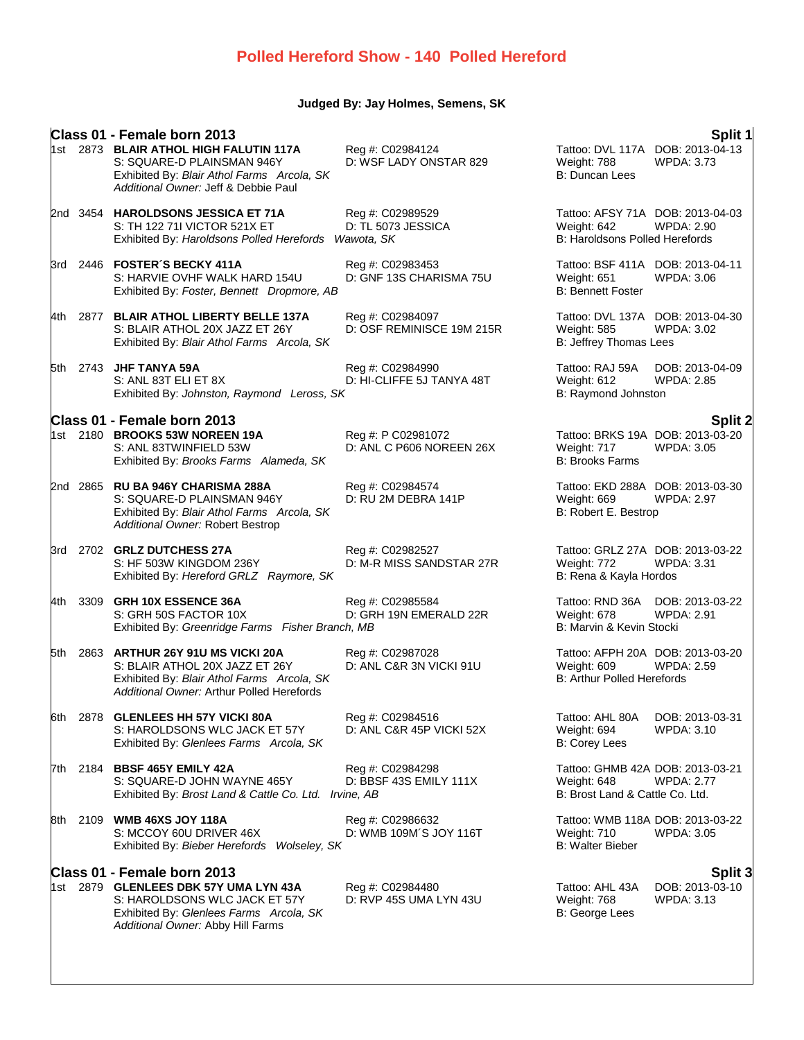# **Polled Hereford Show - 140 Polled Hereford**

# **Judged By: Jay Holmes, Semens, SK**

|       |          | Class 01 - Female born 2013                                                                                                                                                           |                                                |                                                                                      | Split 1                                         |
|-------|----------|---------------------------------------------------------------------------------------------------------------------------------------------------------------------------------------|------------------------------------------------|--------------------------------------------------------------------------------------|-------------------------------------------------|
|       |          | 1st 2873 BLAIR ATHOL HIGH FALUTIN 117A<br>S: SQUARE-D PLAINSMAN 946Y<br>Exhibited By: Blair Athol Farms Arcola, SK<br>Additional Owner: Jeff & Debbie Paul                            | Reg #: C02984124<br>D: WSF LADY ONSTAR 829     | Tattoo: DVL 117A DOB: 2013-04-13<br>Weight: 788<br><b>B: Duncan Lees</b>             | <b>WPDA: 3.73</b>                               |
|       |          | 2nd 3454 HAROLDSONS JESSICA ET 71A<br>S: TH 122 711 VICTOR 521X ET<br>Exhibited By: Haroldsons Polled Herefords Wawota, SK                                                            | Reg #: C02989529<br>D: TL 5073 JESSICA         | Tattoo: AFSY 71A DOB: 2013-04-03<br>Weight: 642<br>B: Haroldsons Polled Herefords    | <b>WPDA: 2.90</b>                               |
| 3rd   |          | 2446 FOSTER'S BECKY 411A<br>S: HARVIE OVHF WALK HARD 154U<br>Exhibited By: Foster, Bennett Dropmore, AB                                                                               | Reg #: C02983453<br>D: GNF 13S CHARISMA 75U    | Tattoo: BSF 411A DOB: 2013-04-11<br>Weight: 651<br><b>B: Bennett Foster</b>          | <b>WPDA: 3.06</b>                               |
| 4th - | 2877     | <b>BLAIR ATHOL LIBERTY BELLE 137A</b><br>S: BLAIR ATHOL 20X JAZZ ET 26Y<br>Exhibited By: Blair Athol Farms Arcola, SK                                                                 | Reg #: C02984097<br>D: OSF REMINISCE 19M 215R  | Tattoo: DVL 137A DOB: 2013-04-30<br>Weight: 585<br>B: Jeffrey Thomas Lees            | WPDA: 3.02                                      |
| 5th   |          | 2743 JHF TANYA 59A<br>S: ANL 83T ELI ET 8X<br>Exhibited By: Johnston, Raymond Leross, SK                                                                                              | Reg #: C02984990<br>D: HI-CLIFFE 5J TANYA 48T  | Tattoo: RAJ 59A<br>Weight: 612<br>B: Raymond Johnston                                | DOB: 2013-04-09<br><b>WPDA: 2.85</b>            |
|       |          | Class 01 - Female born 2013<br>1st 2180 BROOKS 53W NOREEN 19A<br>S: ANL 83TWINFIELD 53W<br>Exhibited By: Brooks Farms Alameda, SK                                                     | Reg #: P C02981072<br>D: ANL C P606 NOREEN 26X | Tattoo: BRKS 19A DOB: 2013-03-20<br>Weight: 717<br><b>B: Brooks Farms</b>            | Split 2<br><b>WPDA: 3.05</b>                    |
|       | 2nd 2865 | <b>RU BA 946Y CHARISMA 288A</b><br>S: SQUARE-D PLAINSMAN 946Y<br>Exhibited By: Blair Athol Farms Arcola, SK<br>Additional Owner: Robert Bestrop                                       | Reg #: C02984574<br>D: RU 2M DEBRA 141P        | Tattoo: EKD 288A DOB: 2013-03-30<br>Weight: 669<br>B: Robert E. Bestrop              | <b>WPDA: 2.97</b>                               |
| 3rd   |          | 2702 GRLZ DUTCHESS 27A<br>S: HF 503W KINGDOM 236Y<br>Exhibited By: Hereford GRLZ Raymore, SK                                                                                          | Reg #: C02982527<br>D: M-R MISS SANDSTAR 27R   | Tattoo: GRLZ 27A DOB: 2013-03-22<br>Weight: 772<br>B: Rena & Kayla Hordos            | <b>WPDA: 3.31</b>                               |
| 4th   | 3309     | GRH 10X ESSENCE 36A<br>S: GRH 50S FACTOR 10X<br>Exhibited By: Greenridge Farms Fisher Branch, MB                                                                                      | Reg #: C02985584<br>D: GRH 19N EMERALD 22R     | Tattoo: RND 36A<br>Weight: 678<br>B: Marvin & Kevin Stocki                           | DOB: 2013-03-22<br><b>WPDA: 2.91</b>            |
| 5th   | 2863     | ARTHUR 26Y 91U MS VICKI 20A<br>S: BLAIR ATHOL 20X JAZZ ET 26Y<br>Exhibited By: Blair Athol Farms Arcola, SK<br>Additional Owner: Arthur Polled Herefords                              | Reg #: C02987028<br>D: ANL C&R 3N VICKI 91U    | Tattoo: AFPH 20A DOB: 2013-03-20<br>Weight: 609<br><b>B: Arthur Polled Herefords</b> | <b>WPDA: 2.59</b>                               |
|       |          | 6th 2878 GLENLEES HH 57Y VICKI 80A<br>S: HAROLDSONS WLC JACK ET 57Y<br>Exhibited By: Glenlees Farms Arcola, SK                                                                        | Reg #: C02984516<br>D: ANL C&R 45P VICKI 52X   | Tattoo: AHL 80A<br>Weight: 694<br><b>B: Corey Lees</b>                               | DOB: 2013-03-31<br>WPDA: 3.10                   |
|       |          | 7th 2184 BBSF 465Y EMILY 42A<br>S: SQUARE-D JOHN WAYNE 465Y<br>Exhibited By: Brost Land & Cattle Co. Ltd. Irvine, AB                                                                  | Reg #: C02984298<br>D: BBSF 43S EMILY 111X     | Tattoo: GHMB 42A DOB: 2013-03-21<br>Weight: 648<br>B: Brost Land & Cattle Co. Ltd.   | <b>WPDA: 2.77</b>                               |
|       |          | 8th 2109 WMB 46XS JOY 118A<br>S: MCCOY 60U DRIVER 46X<br>Exhibited By: Bieber Herefords Wolseley, SK                                                                                  | Reg #: C02986632<br>D: WMB 109M'S JOY 116T     | Tattoo: WMB 118A DOB: 2013-03-22<br>Weight: 710<br><b>B: Walter Bieber</b>           | WPDA: 3.05                                      |
|       |          | Class 01 - Female born 2013<br>1st 2879 GLENLEES DBK 57Y UMA LYN 43A<br>S: HAROLDSONS WLC JACK ET 57Y<br>Exhibited By: Glenlees Farms Arcola, SK<br>Additional Owner: Abby Hill Farms | Reg #: C02984480<br>D: RVP 45S UMA LYN 43U     | Tattoo: AHL 43A<br>Weight: 768<br>B: George Lees                                     | Split 3<br>DOB: 2013-03-10<br><b>WPDA: 3.13</b> |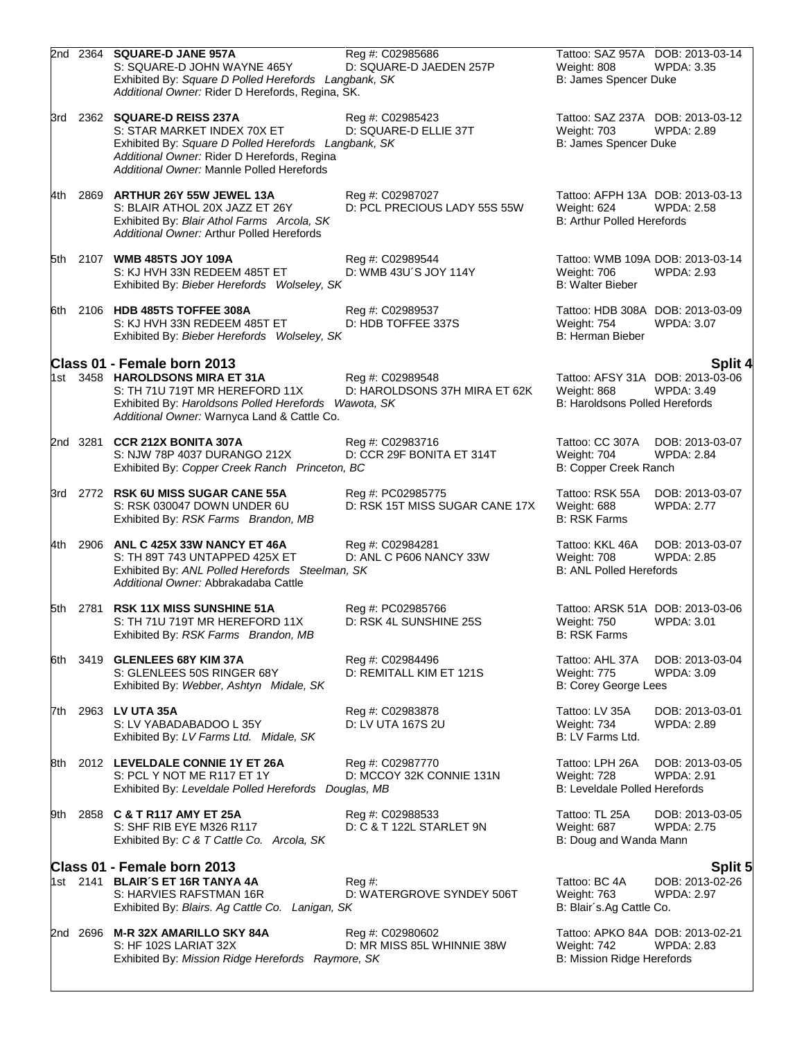|       |          | 2nd 2364 SQUARE-D JANE 957A<br>S: SQUARE-D JOHN WAYNE 465Y<br>Exhibited By: Square D Polled Herefords Langbank, SK<br>Additional Owner: Rider D Herefords, Regina, SK.                                          | Reg #: C02985686<br>D: SQUARE-D JAEDEN 257P         | Weight: 808<br>B: James Spencer Duke                                                 | Tattoo: SAZ 957A DOB: 2013-03-14<br>WPDA: 3.35        |
|-------|----------|-----------------------------------------------------------------------------------------------------------------------------------------------------------------------------------------------------------------|-----------------------------------------------------|--------------------------------------------------------------------------------------|-------------------------------------------------------|
|       |          | 3rd 2362 SQUARE-D REISS 237A<br>S: STAR MARKET INDEX 70X ET<br>Exhibited By: Square D Polled Herefords Langbank, SK<br>Additional Owner: Rider D Herefords, Regina<br>Additional Owner: Mannle Polled Herefords | Reg #: C02985423<br>D: SQUARE-D ELLIE 37T           | Tattoo: SAZ 237A DOB: 2013-03-12<br><b>Weight: 703</b><br>B: James Spencer Duke      | WPDA: 2.89                                            |
| 4th   |          | 2869 ARTHUR 26Y 55W JEWEL 13A<br>S: BLAIR ATHOL 20X JAZZ ET 26Y<br>Exhibited By: Blair Athol Farms Arcola, SK<br>Additional Owner: Arthur Polled Herefords                                                      | Reg #: C02987027<br>D: PCL PRECIOUS LADY 55S 55W    | Tattoo: AFPH 13A DOB: 2013-03-13<br>Weight: 624<br><b>B: Arthur Polled Herefords</b> | <b>WPDA: 2.58</b>                                     |
|       |          | 5th 2107 WMB 485TS JOY 109A<br>S: KJ HVH 33N REDEEM 485T ET<br>Exhibited By: Bieber Herefords Wolseley, SK                                                                                                      | Reg #: C02989544<br>D: WMB 43U'S JOY 114Y           | Weight: 706<br><b>B: Walter Bieber</b>                                               | Tattoo: WMB 109A DOB: 2013-03-14<br><b>WPDA: 2.93</b> |
|       |          | 6th 2106 HDB 485TS TOFFEE 308A<br>S: KJ HVH 33N REDEEM 485T ET<br>Exhibited By: Bieber Herefords Wolseley, SK                                                                                                   | Reg #: C02989537<br>D: HDB TOFFEE 337S              | Tattoo: HDB 308A DOB: 2013-03-09<br>Weight: 754<br><b>B: Herman Bieber</b>           | <b>WPDA: 3.07</b>                                     |
|       |          | Class 01 - Female born 2013<br>1st 3458 HAROLDSONS MIRA ET 31A<br>S: TH 71U 719T MR HEREFORD 11X<br>Exhibited By: Haroldsons Polled Herefords Wawota, SK<br>Additional Owner: Warnyca Land & Cattle Co.         | Reg #: C02989548<br>D: HAROLDSONS 37H MIRA ET 62K   | Tattoo: AFSY 31A DOB: 2013-03-06<br>Weight: 868<br>B: Haroldsons Polled Herefords    | <b>Split 4</b><br><b>WPDA: 3.49</b>                   |
|       | 2nd 3281 | <b>CCR 212X BONITA 307A</b><br>S: NJW 78P 4037 DURANGO 212X<br>Exhibited By: Copper Creek Ranch Princeton, BC                                                                                                   | Reg #: C02983716<br>D: CCR 29F BONITA ET 314T       | Tattoo: CC 307A<br>Weight: 704<br>B: Copper Creek Ranch                              | DOB: 2013-03-07<br><b>WPDA: 2.84</b>                  |
|       |          | 3rd 2772 RSK 6U MISS SUGAR CANE 55A<br>S: RSK 030047 DOWN UNDER 6U<br>Exhibited By: RSK Farms Brandon, MB                                                                                                       | Reg #: PC02985775<br>D: RSK 15T MISS SUGAR CANE 17X | Tattoo: RSK 55A<br>Weight: 688<br><b>B: RSK Farms</b>                                | DOB: 2013-03-07<br><b>WPDA: 2.77</b>                  |
| l4th. |          | 2906 ANL C 425X 33W NANCY ET 46A<br>S: TH 89T 743 UNTAPPED 425X ET<br>Exhibited By: ANL Polled Herefords Steelman, SK<br>Additional Owner: Abbrakadaba Cattle                                                   | Reg #: C02984281<br>D: ANL C P606 NANCY 33W         | Tattoo: KKL 46A<br>Weight: 708<br><b>B: ANL Polled Herefords</b>                     | DOB: 2013-03-07<br><b>WPDA: 2.85</b>                  |
|       | 5th 2781 | <b>RSK 11X MISS SUNSHINE 51A</b><br>S: TH 71U 719T MR HEREFORD 11X<br>Exhibited By: RSK Farms Brandon, MB                                                                                                       | Reg #: PC02985766<br>D: RSK 4L SUNSHINE 25S         | Tattoo: ARSK 51A DOB: 2013-03-06<br>Weight: 750<br>B: RSK Farms                      | <b>WPDA: 3.01</b>                                     |
| 6th   |          | 3419 GLENLEES 68Y KIM 37A<br>S: GLENLEES 50S RINGER 68Y<br>Exhibited By: Webber, Ashtyn Midale, SK                                                                                                              | Reg #: C02984496<br>D: REMITALL KIM ET 121S         | Tattoo: AHL 37A<br>Weight: 775<br>B: Corey George Lees                               | DOB: 2013-03-04<br>WPDA: 3.09                         |
| 7th.  |          | 2963 LV UTA 35A<br>S: LV YABADABADOO L 35Y<br>Exhibited By: LV Farms Ltd. Midale, SK                                                                                                                            | Reg #: C02983878<br>D: LV UTA 167S 2U               | Tattoo: LV 35A<br>Weight: 734<br>B: LV Farms Ltd.                                    | DOB: 2013-03-01<br>WPDA: 2.89                         |
| 8th   |          | 2012 LEVELDALE CONNIE 1Y ET 26A<br>S: PCL Y NOT ME R117 ET 1Y<br>Exhibited By: Leveldale Polled Herefords Douglas, MB                                                                                           | Reg #: C02987770<br>D: MCCOY 32K CONNIE 131N        | Tattoo: LPH 26A<br>Weight: 728<br><b>B: Leveldale Polled Herefords</b>               | DOB: 2013-03-05<br><b>WPDA: 2.91</b>                  |
| 9th.  |          | 2858 C & T R117 AMY ET 25A<br>S: SHF RIB EYE M326 R117<br>Exhibited By: C & T Cattle Co. Arcola, SK                                                                                                             | Reg #: C02988533<br>D: C & T 122L STARLET 9N        | Tattoo: TL 25A<br>Weight: 687<br>B: Doug and Wanda Mann                              | DOB: 2013-03-05<br><b>WPDA: 2.75</b>                  |
|       |          | Class 01 - Female born 2013<br>1st 2141 <b>BLAIR'S ET 16R TANYA 4A</b><br>S: HARVIES RAFSTMAN 16R<br>Exhibited By: Blairs. Ag Cattle Co. Lanigan, SK                                                            | Reg#<br>D: WATERGROVE SYNDEY 506T                   | Tattoo: BC 4A<br>Weight: 763<br>B: Blair's.Ag Cattle Co.                             | <b>Split 5</b><br>DOB: 2013-02-26<br>WPDA: 2.97       |
|       |          | 2nd 2696 M-R 32X AMARILLO SKY 84A<br>S: HF 102S LARIAT 32X<br>Exhibited By: Mission Ridge Herefords Raymore, SK                                                                                                 | Reg #: C02980602<br>D: MR MISS 85L WHINNIE 38W      | Tattoo: APKO 84A DOB: 2013-02-21<br>Weight: 742<br>B: Mission Ridge Herefords        | <b>WPDA: 2.83</b>                                     |
|       |          |                                                                                                                                                                                                                 |                                                     |                                                                                      |                                                       |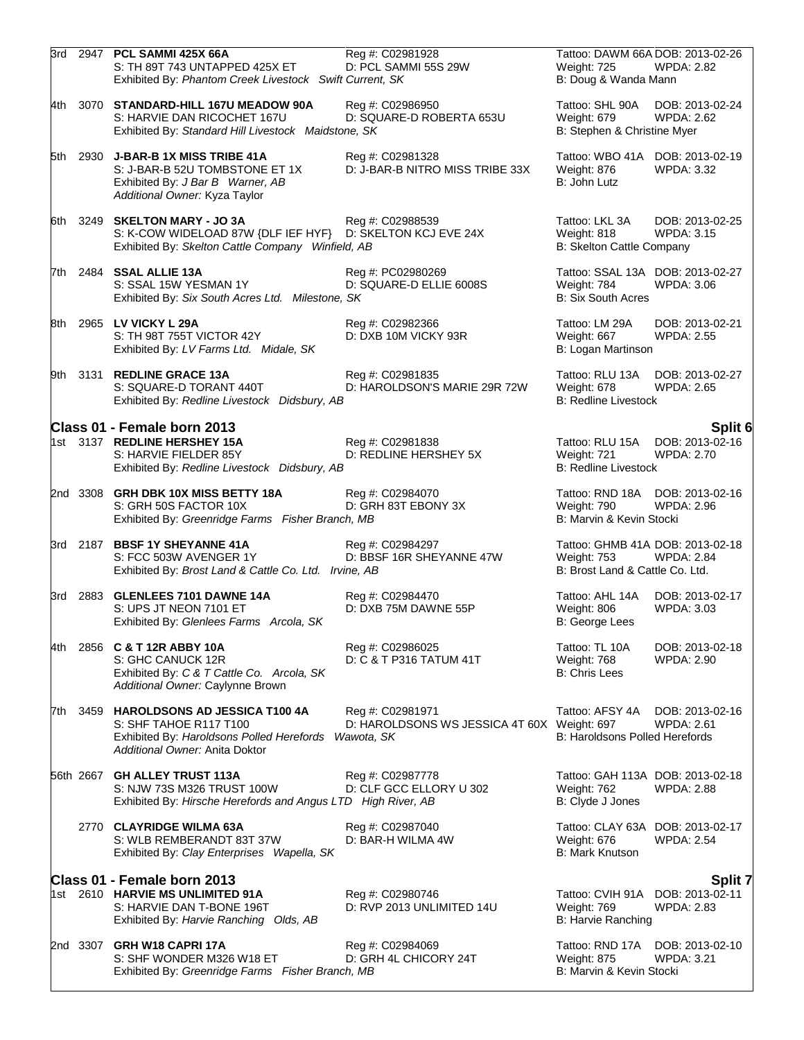|      |          | 3rd 2947 PCL SAMMI 425X 66A<br>S: TH 89T 743 UNTAPPED 425X ET<br>Exhibited By: Phantom Creek Livestock Swift Current, SK                         | Reg #: C02981928<br>D: PCL SAMMI 55S 29W                                      | Tattoo: DAWM 66A DOB: 2013-02-26<br>Weight: 725<br>B: Doug & Wanda Mann            | WPDA: 2.82                           |
|------|----------|--------------------------------------------------------------------------------------------------------------------------------------------------|-------------------------------------------------------------------------------|------------------------------------------------------------------------------------|--------------------------------------|
| 4th  |          | 3070 STANDARD-HILL 167U MEADOW 90A<br>S: HARVIE DAN RICOCHET 167U<br>Exhibited By: Standard Hill Livestock Maidstone, SK                         | Reg #: C02986950<br>D: SQUARE-D ROBERTA 653U                                  | Tattoo: SHL 90A<br>Weight: 679<br>B: Stephen & Christine Myer                      | DOB: 2013-02-24<br>WPDA: 2.62        |
|      | 5th 2930 | <b>J-BAR-B 1X MISS TRIBE 41A</b><br>S: J-BAR-B 52U TOMBSTONE ET 1X<br>Exhibited By: J Bar B Warner, AB<br>Additional Owner: Kyza Taylor          | Reg #: C02981328<br>D: J-BAR-B NITRO MISS TRIBE 33X                           | Tattoo: WBO 41A DOB: 2013-02-19<br>Weight: 876<br>B: John Lutz                     | WPDA: 3.32                           |
|      |          | 6th 3249 SKELTON MARY - JO 3A<br>S: K-COW WIDELOAD 87W {DLF IEF HYF} D: SKELTON KCJ EVE 24X<br>Exhibited By: Skelton Cattle Company Winfield, AB | Reg #: C02988539                                                              | Tattoo: LKL 3A<br>Weight: 818<br>B: Skelton Cattle Company                         | DOB: 2013-02-25<br><b>WPDA: 3.15</b> |
|      |          | 7th 2484 SSAL ALLIE 13A<br>S: SSAL 15W YESMAN 1Y<br>Exhibited By: Six South Acres Ltd. Milestone, SK                                             | Reg #: PC02980269<br>D: SQUARE-D ELLIE 6008S                                  | Tattoo: SSAL 13A DOB: 2013-02-27<br>Weight: 784<br><b>B: Six South Acres</b>       | WPDA: 3.06                           |
|      |          | 8th 2965 LV VICKY L 29A<br>S: TH 98T 755T VICTOR 42Y<br>Exhibited By: LV Farms Ltd. Midale, SK                                                   | Reg #: C02982366<br>D: DXB 10M VICKY 93R                                      | Tattoo: LM 29A<br>Weight: 667<br>B: Logan Martinson                                | DOB: 2013-02-21<br><b>WPDA: 2.55</b> |
|      |          | 9th 3131 REDLINE GRACE 13A<br>S: SQUARE-D TORANT 440T<br>Exhibited By: Redline Livestock Didsbury, AB                                            | Reg #: C02981835<br>D: HAROLDSON'S MARIE 29R 72W                              | Tattoo: RLU 13A<br>Weight: 678<br><b>B: Redline Livestock</b>                      | DOB: 2013-02-27<br><b>WPDA: 2.65</b> |
|      |          | Class 01 - Female born 2013                                                                                                                      |                                                                               |                                                                                    | Split 6                              |
|      |          | 1st 3137 REDLINE HERSHEY 15A<br>S: HARVIE FIELDER 85Y<br>Exhibited By: Redline Livestock Didsbury, AB                                            | Reg #: C02981838<br>D: REDLINE HERSHEY 5X                                     | Tattoo: RLU 15A<br>Weight: 721<br><b>B: Redline Livestock</b>                      | DOB: 2013-02-16<br><b>WPDA: 2.70</b> |
|      | 2nd 3308 | GRH DBK 10X MISS BETTY 18A<br>S: GRH 50S FACTOR 10X<br>Exhibited By: Greenridge Farms Fisher Branch, MB                                          | Reg #: C02984070<br>D: GRH 83T EBONY 3X                                       | Tattoo: RND 18A<br>Weight: 790<br>B: Marvin & Kevin Stocki                         | DOB: 2013-02-16<br>WPDA: 2.96        |
|      |          | 3rd 2187 BBSF 1Y SHEYANNE 41A<br>S: FCC 503W AVENGER 1Y<br>Exhibited By: Brost Land & Cattle Co. Ltd. Irvine, AB                                 | Reg #: C02984297<br>D: BBSF 16R SHEYANNE 47W                                  | Tattoo: GHMB 41A DOB: 2013-02-18<br>Weight: 753<br>B: Brost Land & Cattle Co. Ltd. | <b>WPDA: 2.84</b>                    |
|      | 3rd 2883 | <b>GLENLEES 7101 DAWNE 14A</b><br>S: UPS JT NEON 7101 ET<br>Exhibited By: Glenlees Farms Arcola, SK                                              | Reg #: C02984470<br>D: DXB 75M DAWNE 55P                                      | Tattoo: AHL 14A<br>Weight: 806<br>B: George Lees                                   | DOB: 2013-02-17<br><b>WPDA: 3.03</b> |
| 4th  |          | 2856 C & T 12R ABBY 10A<br>S: GHC CANUCK 12R<br>Exhibited By: C & T Cattle Co. Arcola, SK<br>Additional Owner: Caylynne Brown                    | Reg #: C02986025<br>D: C & T P316 TATUM 41T                                   | Tattoo: TL 10A<br>Weight: 768<br><b>B: Chris Lees</b>                              | DOB: 2013-02-18<br><b>WPDA: 2.90</b> |
| 7th. |          | 3459 HAROLDSONS AD JESSICA T100 4A<br>S: SHF TAHOE R117 T100<br>Exhibited By: Haroldsons Polled Herefords<br>Additional Owner: Anita Doktor      | Reg #: C02981971<br>D: HAROLDSONS WS JESSICA 4T 60X Weight: 697<br>Wawota, SK | Tattoo: AFSY 4A<br>B: Haroldsons Polled Herefords                                  | DOB: 2013-02-16<br><b>WPDA: 2.61</b> |
|      |          | 56th 2667 GH ALLEY TRUST 113A<br>S: NJW 73S M326 TRUST 100W<br>Exhibited By: Hirsche Herefords and Angus LTD High River, AB                      | Reg #: C02987778<br>D: CLF GCC ELLORY U 302                                   | Tattoo: GAH 113A DOB: 2013-02-18<br>Weight: 762<br>B: Clyde J Jones                | <b>WPDA: 2.88</b>                    |
|      |          | 2770 CLAYRIDGE WILMA 63A<br>S: WLB REMBERANDT 83T 37W<br>Exhibited By: Clay Enterprises Wapella, SK                                              | Reg #: C02987040<br>D: BAR-H WILMA 4W                                         | Tattoo: CLAY 63A DOB: 2013-02-17<br>Weight: 676<br><b>B: Mark Knutson</b>          | <b>WPDA: 2.54</b>                    |
|      |          | Class 01 - Female born 2013                                                                                                                      |                                                                               |                                                                                    | <b>Split 7</b>                       |
|      |          | 1st 2610 HARVIE MS UNLIMITED 91A<br>S: HARVIE DAN T-BONE 196T<br>Exhibited By: Harvie Ranching Olds, AB                                          | Reg #: C02980746<br>D: RVP 2013 UNLIMITED 14U                                 | Tattoo: CVIH 91A<br>Weight: 769<br><b>B: Harvie Ranching</b>                       | DOB: 2013-02-11<br><b>WPDA: 2.83</b> |
|      |          | 2nd 3307 GRH W18 CAPRI 17A<br>S: SHF WONDER M326 W18 ET<br>Exhibited By: Greenridge Farms Fisher Branch, MB                                      | Reg #: C02984069<br>D: GRH 4L CHICORY 24T                                     | Tattoo: RND 17A<br>Weight: 875<br>B: Marvin & Kevin Stocki                         | DOB: 2013-02-10<br><b>WPDA: 3.21</b> |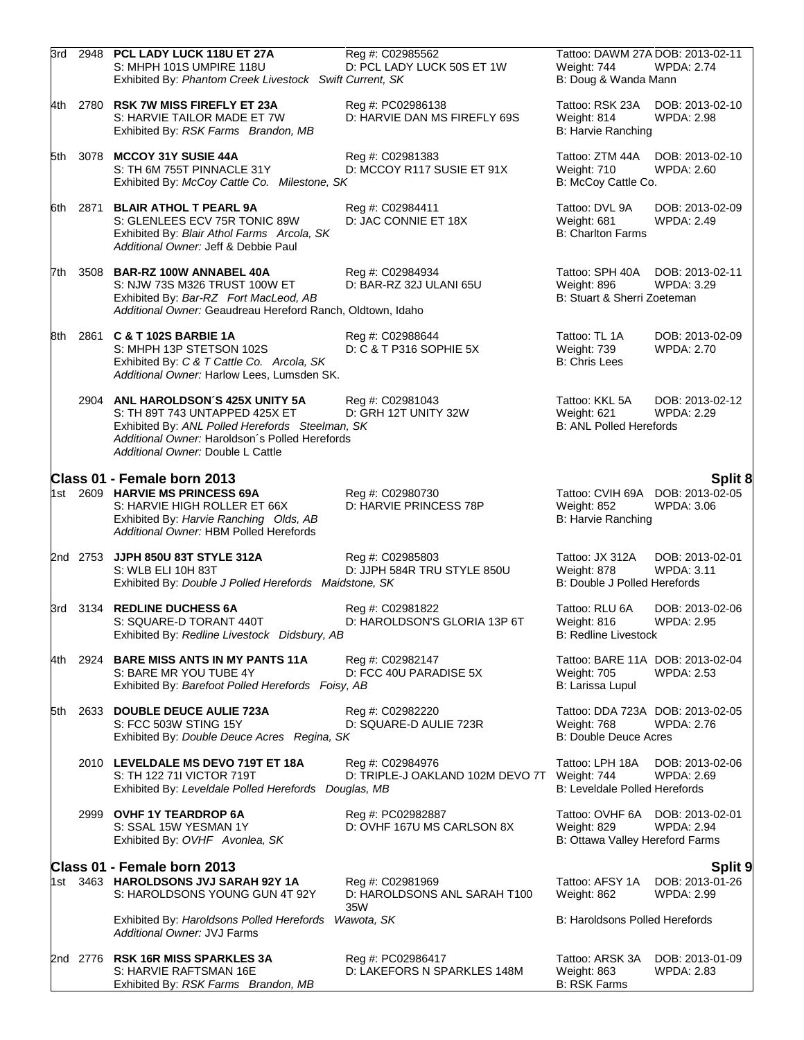| 3rd  |      | 2948 PCL LADY LUCK 118U ET 27A<br>S: MHPH 101S UMPIRE 118U<br>Exhibited By: Phantom Creek Livestock Swift Current, SK                                                                                          | Reg #: C02985562<br>D: PCL LADY LUCK 50S ET 1W          | Tattoo: DAWM 27A DOB: 2013-02-11<br>Weight: 744<br>B: Doug & Wanda Mann         | <b>WPDA: 2.74</b>                                     |
|------|------|----------------------------------------------------------------------------------------------------------------------------------------------------------------------------------------------------------------|---------------------------------------------------------|---------------------------------------------------------------------------------|-------------------------------------------------------|
|      |      | 4th 2780 RSK 7W MISS FIREFLY ET 23A<br>S: HARVIE TAILOR MADE ET 7W<br>Exhibited By: RSK Farms Brandon, MB                                                                                                      | Reg #: PC02986138<br>D: HARVIE DAN MS FIREFLY 69S       | Tattoo: RSK 23A<br>Weight: 814<br>B: Harvie Ranching                            | DOB: 2013-02-10<br><b>WPDA: 2.98</b>                  |
| 5th  |      | 3078 MCCOY 31Y SUSIE 44A<br>S: TH 6M 755T PINNACLE 31Y<br>Exhibited By: McCoy Cattle Co. Milestone, SK                                                                                                         | Reg #: C02981383<br>D: MCCOY R117 SUSIE ET 91X          | Tattoo: ZTM 44A<br>Weight: 710<br>B: McCoy Cattle Co.                           | DOB: 2013-02-10<br>WPDA: 2.60                         |
| 6th. | 2871 | <b>BLAIR ATHOL T PEARL 9A</b><br>S: GLENLEES ECV 75R TONIC 89W<br>Exhibited By: Blair Athol Farms Arcola, SK<br>Additional Owner: Jeff & Debbie Paul                                                           | Reg #: C02984411<br>D: JAC CONNIE ET 18X                | Tattoo: DVL 9A<br>Weight: 681<br><b>B: Charlton Farms</b>                       | DOB: 2013-02-09<br><b>WPDA: 2.49</b>                  |
| 7th  | 3508 | <b>BAR-RZ 100W ANNABEL 40A</b><br>S: NJW 73S M326 TRUST 100W ET<br>Exhibited By: Bar-RZ Fort MacLeod, AB<br>Additional Owner: Geaudreau Hereford Ranch, Oldtown, Idaho                                         | Reg #: C02984934<br>D: BAR-RZ 32J ULANI 65U             | Tattoo: SPH 40A<br>Weight: 896<br>B: Stuart & Sherri Zoeteman                   | DOB: 2013-02-11<br>WPDA: 3.29                         |
| 8th  |      | 2861 C & T 102S BARBIE 1A<br>S: MHPH 13P STETSON 102S<br>Exhibited By: C & T Cattle Co. Arcola, SK<br>Additional Owner: Harlow Lees, Lumsden SK.                                                               | Reg #: C02988644<br>D: C & T P316 SOPHIE 5X             | Tattoo: TL 1A<br>Weight: 739<br><b>B: Chris Lees</b>                            | DOB: 2013-02-09<br><b>WPDA: 2.70</b>                  |
|      |      | 2904 ANL HAROLDSON'S 425X UNITY 5A<br>S: TH 89T 743 UNTAPPED 425X ET<br>Exhibited By: ANL Polled Herefords Steelman, SK<br>Additional Owner: Haroldson's Polled Herefords<br>Additional Owner: Double L Cattle | Reg #: C02981043<br>D: GRH 12T UNITY 32W                | Tattoo: KKL 5A<br>Weight: 621<br><b>B: ANL Polled Herefords</b>                 | DOB: 2013-02-12<br><b>WPDA: 2.29</b>                  |
|      |      | Class 01 - Female born 2013<br>1st 2609 HARVIE MS PRINCESS 69A<br>S: HARVIE HIGH ROLLER ET 66X<br>Exhibited By: Harvie Ranching Olds, AB<br>Additional Owner: HBM Polled Herefords                             | Reg #: C02980730<br>D: HARVIE PRINCESS 78P              | Tattoo: CVIH 69A DOB: 2013-02-05<br>Weight: 852<br>B: Harvie Ranching           | Split 8<br>WPDA: 3.06                                 |
|      |      | 2nd 2753 JJPH 850U 83T STYLE 312A<br>S: WLB ELI 10H 83T<br>Exhibited By: Double J Polled Herefords Maidstone, SK                                                                                               | Reg #: C02985803<br>D: JJPH 584R TRU STYLE 850U         | Tattoo: JX 312A<br>Weight: 878<br>B: Double J Polled Herefords                  | DOB: 2013-02-01<br><b>WPDA: 3.11</b>                  |
|      |      | 3rd 3134 REDLINE DUCHESS 6A<br>S: SQUARE-D TORANT 440T<br>Exhibited By: Redline Livestock Didsbury, AB                                                                                                         | Reg #: C02981822<br>D: HAROLDSON'S GLORIA 13P 6T        | Tattoo: RLU 6A<br>Weight: 816<br><b>B: Redline Livestock</b>                    | DOB: 2013-02-06<br><b>WPDA: 2.95</b>                  |
| 4th  |      | 2924 BARE MISS ANTS IN MY PANTS 11A<br>S: BARE MR YOU TUBE 4Y<br>Exhibited By: Barefoot Polled Herefords Foisy, AB                                                                                             | Reg #: C02982147<br>D: FCC 40U PARADISE 5X              | <b>Weight: 705</b><br>B: Larissa Lupul                                          | Tattoo: BARE 11A DOB: 2013-02-04<br><b>WPDA: 2.53</b> |
| 5th  |      | 2633 DOUBLE DEUCE AULIE 723A<br>S: FCC 503W STING 15Y<br>Exhibited By: Double Deuce Acres Regina, SK                                                                                                           | Reg #: C02982220<br>D: SQUARE-D AULIE 723R              | Tattoo: DDA 723A DOB: 2013-02-05<br>Weight: 768<br><b>B: Double Deuce Acres</b> | <b>WPDA: 2.76</b>                                     |
|      |      | 2010 LEVELDALE MS DEVO 719T ET 18A<br>S: TH 122 711 VICTOR 719T<br>Exhibited By: Leveldale Polled Herefords Douglas, MB                                                                                        | Reg #: C02984976<br>D: TRIPLE-J OAKLAND 102M DEVO 7T    | Tattoo: LPH 18A<br>Weight: 744<br>B: Leveldale Polled Herefords                 | DOB: 2013-02-06<br>WPDA: 2.69                         |
|      |      | 2999 OVHF 1Y TEARDROP 6A<br>S: SSAL 15W YESMAN 1Y<br>Exhibited By: OVHF Avonlea, SK                                                                                                                            | Reg #: PC02982887<br>D: OVHF 167U MS CARLSON 8X         | Tattoo: OVHF 6A<br>Weight: 829<br>B: Ottawa Valley Hereford Farms               | DOB: 2013-02-01<br><b>WPDA: 2.94</b>                  |
|      |      | Class 01 - Female born 2013                                                                                                                                                                                    |                                                         |                                                                                 | Split 9                                               |
|      |      | 1st 3463 HAROLDSONS JVJ SARAH 92Y 1A<br>S: HAROLDSONS YOUNG GUN 4T 92Y                                                                                                                                         | Reg #: C02981969<br>D: HAROLDSONS ANL SARAH T100<br>35W | Tattoo: AFSY 1A<br>Weight: 862                                                  | DOB: 2013-01-26<br>WPDA: 2.99                         |
|      |      | Exhibited By: Haroldsons Polled Herefords Wawota, SK<br>Additional Owner: JVJ Farms                                                                                                                            |                                                         | <b>B: Haroldsons Polled Herefords</b>                                           |                                                       |
|      |      | 2nd 2776 RSK 16R MISS SPARKLES 3A<br>S: HARVIE RAFTSMAN 16E<br>Exhibited By: RSK Farms Brandon, MB                                                                                                             | Reg #: PC02986417<br>D: LAKEFORS N SPARKLES 148M        | Tattoo: ARSK 3A<br>Weight: 863<br><b>B: RSK Farms</b>                           | DOB: 2013-01-09<br><b>WPDA: 2.83</b>                  |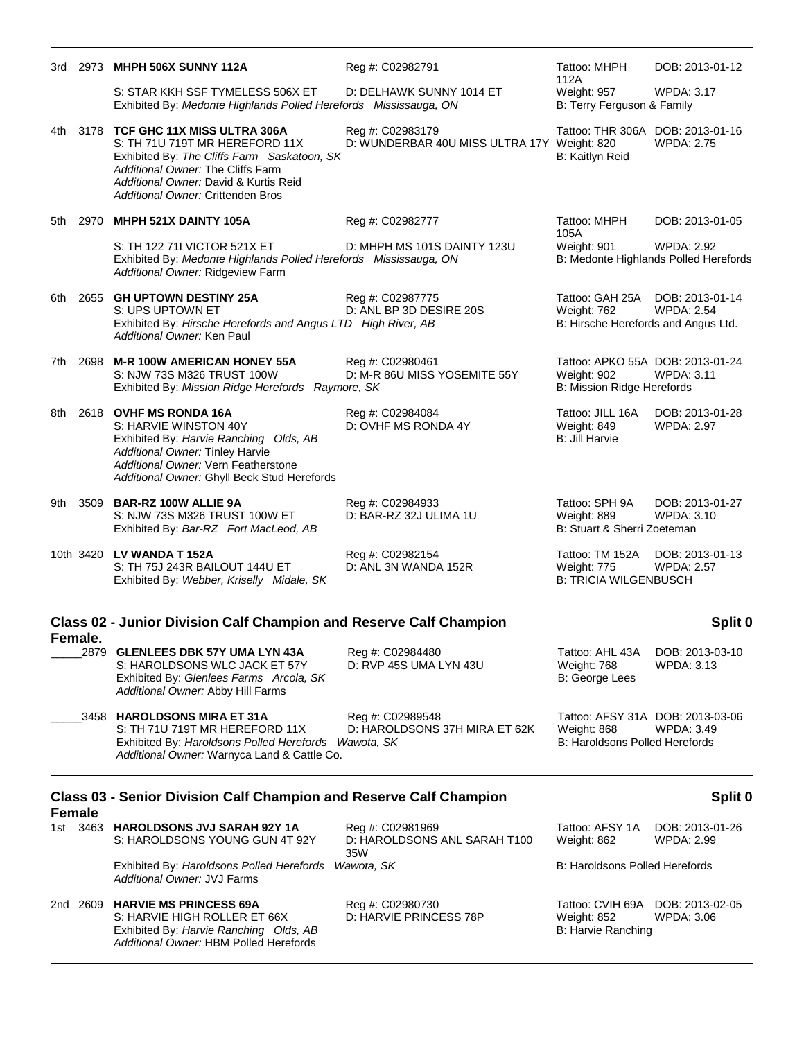| 3rd  | 2973 MHPH 506X SUNNY 112A                                                                                                                                                                                                            | Reg #: C02982791                                                | Tattoo: MHPH<br>112A                                                          | DOB: 2013-01-12                                            |
|------|--------------------------------------------------------------------------------------------------------------------------------------------------------------------------------------------------------------------------------------|-----------------------------------------------------------------|-------------------------------------------------------------------------------|------------------------------------------------------------|
|      | S: STAR KKH SSF TYMELESS 506X ET<br>Exhibited By: Medonte Highlands Polled Herefords Mississauga, ON                                                                                                                                 | D: DELHAWK SUNNY 1014 ET                                        | Weight: 957<br>B: Terry Ferguson & Family                                     | <b>WPDA: 3.17</b>                                          |
| 4th. | 3178 TCF GHC 11X MISS ULTRA 306A<br>S: TH 71U 719T MR HEREFORD 11X<br>Exhibited By: The Cliffs Farm Saskatoon, SK<br>Additional Owner: The Cliffs Farm<br>Additional Owner: David & Kurtis Reid<br>Additional Owner: Crittenden Bros | Reg #: C02983179<br>D: WUNDERBAR 40U MISS ULTRA 17Y Weight: 820 | Tattoo: THR 306A DOB: 2013-01-16<br>B: Kaitlyn Reid                           | <b>WPDA: 2.75</b>                                          |
|      | 5th 2970 MHPH 521X DAINTY 105A                                                                                                                                                                                                       | Reg #: C02982777                                                | Tattoo: MHPH<br>105A                                                          | DOB: 2013-01-05                                            |
|      | S: TH 122 711 VICTOR 521X ET<br>Exhibited By: Medonte Highlands Polled Herefords Mississauga, ON<br>Additional Owner: Ridgeview Farm                                                                                                 | D: MHPH MS 101S DAINTY 123U                                     | Weight: 901                                                                   | <b>WPDA: 2.92</b><br>B: Medonte Highlands Polled Herefords |
|      | 6th 2655 GH UPTOWN DESTINY 25A<br>S: UPS UPTOWN ET<br>Exhibited By: Hirsche Herefords and Angus LTD High River, AB<br>Additional Owner: Ken Paul                                                                                     | Reg #: C02987775<br>D: ANL BP 3D DESIRE 20S                     | Tattoo: GAH 25A<br>Weight: 762<br>B: Hirsche Herefords and Angus Ltd.         | DOB: 2013-01-14<br><b>WPDA: 2.54</b>                       |
| 7th  | 2698 M-R 100W AMERICAN HONEY 55A<br>S: NJW 73S M326 TRUST 100W<br>Exhibited By: Mission Ridge Herefords Raymore, SK                                                                                                                  | Reg #: C02980461<br>D: M-R 86U MISS YOSEMITE 55Y                | Tattoo: APKO 55A DOB: 2013-01-24<br>Weight: 902<br>B: Mission Ridge Herefords | <b>WPDA: 3.11</b>                                          |
| 8th  | 2618 OVHF MS RONDA 16A<br>S: HARVIE WINSTON 40Y<br>Exhibited By: Harvie Ranching Olds, AB<br>Additional Owner: Tinley Harvie<br>Additional Owner: Vern Featherstone<br>Additional Owner: Ghyll Beck Stud Herefords                   | Reg #: C02984084<br>D: OVHF MS RONDA 4Y                         | Tattoo: JILL 16A<br>Weight: 849<br><b>B: Jill Harvie</b>                      | DOB: 2013-01-28<br><b>WPDA: 2.97</b>                       |
|      | 9th 3509 BAR-RZ 100W ALLIE 9A<br>S: NJW 73S M326 TRUST 100W ET<br>Exhibited By: Bar-RZ Fort MacLeod, AB                                                                                                                              | Reg #: C02984933<br>D: BAR-RZ 32J ULIMA 1U                      | Tattoo: SPH 9A<br>Weight: 889<br>B: Stuart & Sherri Zoeteman                  | DOB: 2013-01-27<br>WPDA: 3.10                              |
|      | 10th 3420 LV WANDA T 152A<br>S: TH 75J 243R BAILOUT 144U ET<br>Exhibited By: Webber, Kriselly Midale, SK                                                                                                                             | Reg #: C02982154<br>D: ANL 3N WANDA 152R                        | Tattoo: TM 152A<br>Weight: 775<br><b>B: TRICIA WILGENBUSCH</b>                | DOB: 2013-01-13<br><b>WPDA: 2.57</b>                       |
|      | Class 02 - Junior Division Calf Champion and Reserve Calf Champion                                                                                                                                                                   |                                                                 |                                                                               | Split 0                                                    |

| Female. | <b>URSS OF DUING DIVISION OUN ORIGINAL AND INCOUNT ONLY ONLY ONE OPTIMIS</b>                                                                              |                                                                 |                                                         | UNIIL V                                        |  |
|---------|-----------------------------------------------------------------------------------------------------------------------------------------------------------|-----------------------------------------------------------------|---------------------------------------------------------|------------------------------------------------|--|
|         | 2879 GLENLEES DBK 57Y UMA LYN 43A<br>S: HAROLDSONS WLC JACK ET 57Y<br>Exhibited By: Glenlees Farms Arcola, SK<br>Additional Owner: Abby Hill Farms        | Reg #: C02984480<br>D: RVP 45S UMA LYN 43U                      | Tattoo: AHL 43A<br>Weight: 768<br><b>B:</b> George Lees | DOB: 2013-03-10<br>WPDA: 3.13                  |  |
|         | 3458 HAROLDSONS MIRA ET 31A<br>S: TH 71U 719T MR HEREFORD 11X<br>Exhibited By: Haroldsons Polled Herefords<br>Additional Owner: Warnyca Land & Cattle Co. | Reg #: C02989548<br>D: HAROLDSONS 37H MIRA ET 62K<br>Wawota, SK | Weight: 868<br>B: Haroldsons Polled Herefords           | Tattoo: AFSY 31A DOB: 2013-03-06<br>WPDA: 3.49 |  |

| Class 03 - Senior Division Calf Champion and Reserve Calf Champion<br>Female |             |  |                                                                                                                                                   | Split (                                                 |                                                       |                                      |
|------------------------------------------------------------------------------|-------------|--|---------------------------------------------------------------------------------------------------------------------------------------------------|---------------------------------------------------------|-------------------------------------------------------|--------------------------------------|
|                                                                              | 1st         |  | 3463 HAROLDSONS JVJ SARAH 92Y 1A<br>S: HAROLDSONS YOUNG GUN 4T 92Y                                                                                | Reg #: C02981969<br>D: HAROLDSONS ANL SARAH T100<br>35W | Tattoo: AFSY 1A<br>Weight: 862                        | DOB: 2013-01-26<br><b>WPDA: 2.99</b> |
|                                                                              |             |  | Exhibited By: Haroldsons Polled Herefords<br>Additional Owner: JVJ Farms                                                                          | Wawota, SK                                              | B: Haroldsons Polled Herefords                        |                                      |
|                                                                              | 2nd<br>2609 |  | <b>HARVIE MS PRINCESS 69A</b><br>S: HARVIE HIGH ROLLER ET 66X<br>Exhibited By: Harvie Ranching Olds, AB<br>Additional Owner: HBM Polled Herefords | Reg #: C02980730<br>D: HARVIE PRINCESS 78P              | Tattoo: CVIH 69A<br>Weight: 852<br>B: Harvie Ranching | DOB: 2013-02-05<br>WPDA: 3.06        |

## **Split 0**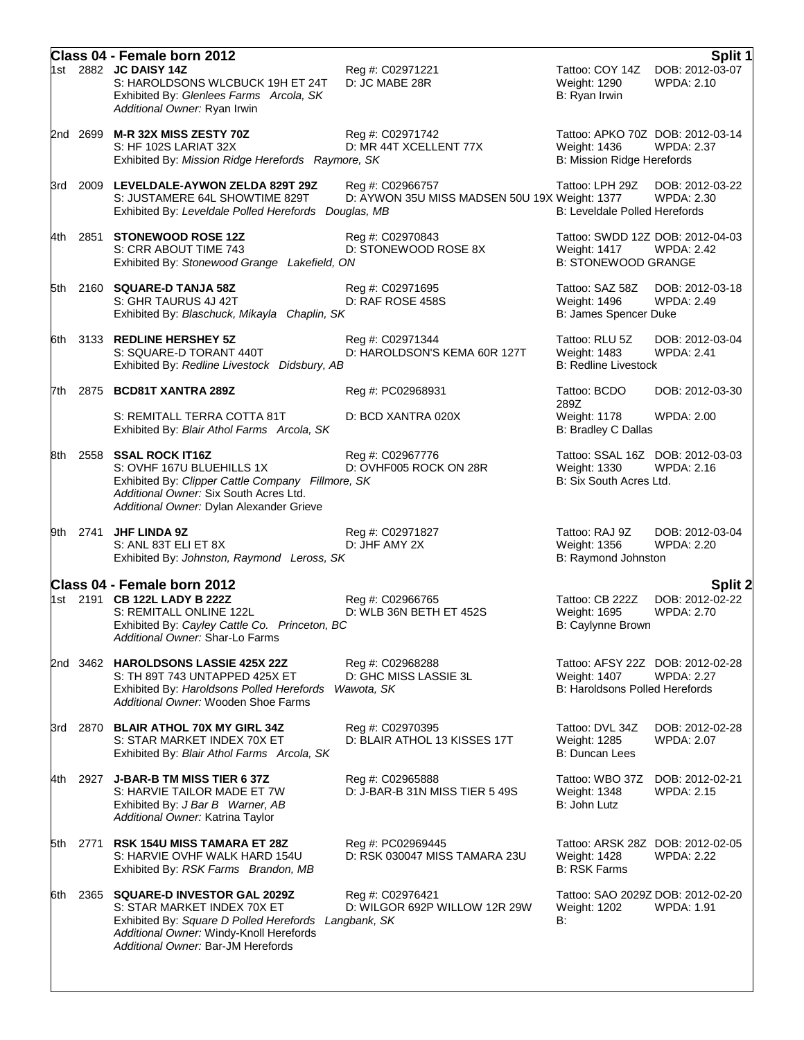|      |      | Class 04 - Female born 2012                                                                                                                                                                   |                                                                   |                                                                                                  | Split 1                              |
|------|------|-----------------------------------------------------------------------------------------------------------------------------------------------------------------------------------------------|-------------------------------------------------------------------|--------------------------------------------------------------------------------------------------|--------------------------------------|
|      |      | 1st 2882 JC DAISY 14Z<br>S: HAROLDSONS WLCBUCK 19H ET 24T<br>Exhibited By: Glenlees Farms Arcola, SK<br>Additional Owner: Ryan Irwin                                                          | Reg #: C02971221<br>D: JC MABE 28R                                | Tattoo: COY 14Z<br>Weight: 1290<br>B: Ryan Irwin                                                 | DOB: 2012-03-07<br>WPDA: 2.10        |
|      |      | 2nd 2699 M-R 32X MISS ZESTY 70Z<br>S: HF 102S LARIAT 32X<br>Exhibited By: Mission Ridge Herefords Raymore, SK                                                                                 | Reg #: C02971742<br>D: MR 44T XCELLENT 77X                        | Tattoo: APKO 70Z DOB: 2012-03-14<br>Weight: 1436<br><b>B: Mission Ridge Herefords</b>            | <b>WPDA: 2.37</b>                    |
| 3rd  |      | 2009 LEVELDALE-AYWON ZELDA 829T 29Z<br>S: JUSTAMERE 64L SHOWTIME 829T<br>Exhibited By: Leveldale Polled Herefords Douglas, MB                                                                 | Reg #: C02966757<br>D: AYWON 35U MISS MADSEN 50U 19X Weight: 1377 | Tattoo: LPH 29Z<br>B: Leveldale Polled Herefords                                                 | DOB: 2012-03-22<br>WPDA: 2.30        |
| 4th  | 2851 | <b>STONEWOOD ROSE 12Z</b><br>S: CRR ABOUT TIME 743<br>Exhibited By: Stonewood Grange Lakefield, ON                                                                                            | Reg #: C02970843<br>D: STONEWOOD ROSE 8X                          | Tattoo: SWDD 12Z DOB: 2012-04-03<br><b>Weight: 1417</b><br><b>B: STONEWOOD GRANGE</b>            | <b>WPDA: 2.42</b>                    |
| 5th  |      | 2160 SQUARE-D TANJA 58Z<br>S: GHR TAURUS 4J 42T<br>Exhibited By: Blaschuck, Mikayla Chaplin, SK                                                                                               | Reg #: C02971695<br>D: RAF ROSE 458S                              | Tattoo: SAZ 58Z<br>Weight: 1496<br>B: James Spencer Duke                                         | DOB: 2012-03-18<br><b>WPDA: 2.49</b> |
|      |      | 6th 3133 REDLINE HERSHEY 5Z<br>S: SQUARE-D TORANT 440T<br>Exhibited By: Redline Livestock Didsbury, AB                                                                                        | Reg #: C02971344<br>D: HAROLDSON'S KEMA 60R 127T                  | Tattoo: RLU 5Z<br>Weight: 1483<br><b>B: Redline Livestock</b>                                    | DOB: 2012-03-04<br><b>WPDA: 2.41</b> |
| 7th. | 2875 | <b>BCD81T XANTRA 289Z</b>                                                                                                                                                                     | Reg #: PC02968931                                                 | Tattoo: BCDO<br>289Z                                                                             | DOB: 2012-03-30                      |
|      |      | S: REMITALL TERRA COTTA 81T<br>Exhibited By: Blair Athol Farms Arcola, SK                                                                                                                     | D: BCD XANTRA 020X                                                | <b>Weight: 1178</b><br>B: Bradley C Dallas                                                       | <b>WPDA: 2.00</b>                    |
| 8th  |      | 2558 SSAL ROCK IT16Z<br>S: OVHF 167U BLUEHILLS 1X<br>Exhibited By: Clipper Cattle Company Fillmore, SK<br>Additional Owner: Six South Acres Ltd.<br>Additional Owner: Dylan Alexander Grieve  | Reg #: C02967776<br>D: OVHF005 ROCK ON 28R                        | Tattoo: SSAL 16Z DOB: 2012-03-03<br>Weight: 1330<br>B: Six South Acres Ltd.                      | <b>WPDA: 2.16</b>                    |
| 9th  | 2741 | <b>JHF LINDA 9Z</b><br>S: ANL 83T ELI ET 8X<br>Exhibited By: Johnston, Raymond Leross, SK                                                                                                     | Reg #: C02971827<br>D: JHF AMY 2X                                 | Tattoo: RAJ 9Z<br>Weight: 1356<br>B: Raymond Johnston                                            | DOB: 2012-03-04<br><b>WPDA: 2.20</b> |
|      |      | Class 04 - Female born 2012                                                                                                                                                                   |                                                                   |                                                                                                  | <b>Split 2</b>                       |
|      |      | 1st 2191 CB 122L LADY B 222Z<br>S: REMITALL ONLINE 122L<br>Exhibited By: Cayley Cattle Co. Princeton, BC<br>Additional Owner: Shar-Lo Farms                                                   | Reg #: C02966765<br>D: WLB 36N BETH ET 452S                       | Tattoo: CB 222Z<br>Weight: 1695<br>B: Caylynne Brown                                             | DOB: 2012-02-22<br><b>WPDA: 2.70</b> |
|      |      | 2nd 3462 HAROLDSONS LASSIE 425X 22Z<br>S: TH 89T 743 UNTAPPED 425X ET<br>Exhibited By: Haroldsons Polled Herefords<br>Additional Owner: Wooden Shoe Farms                                     | Reg #: C02968288<br>D: GHC MISS LASSIE 3L<br>Wawota, SK           | Tattoo: AFSY 22Z DOB: 2012-02-28<br><b>Weight: 1407</b><br><b>B: Haroldsons Polled Herefords</b> | <b>WPDA: 2.27</b>                    |
| 3rd  | 2870 | <b>BLAIR ATHOL 70X MY GIRL 34Z</b><br>S: STAR MARKET INDEX 70X ET<br>Exhibited By: Blair Athol Farms Arcola, SK                                                                               | Reg #: C02970395<br>D: BLAIR ATHOL 13 KISSES 17T                  | Tattoo: DVL 34Z<br>Weight: 1285<br><b>B: Duncan Lees</b>                                         | DOB: 2012-02-28<br><b>WPDA: 2.07</b> |
| 4th  | 2927 | J-BAR-B TM MISS TIER 6 37Z<br>S: HARVIE TAILOR MADE ET 7W<br>Exhibited By: J Bar B Warner, AB<br>Additional Owner: Katrina Taylor                                                             | Reg #: C02965888<br>D: J-BAR-B 31N MISS TIER 5 49S                | Tattoo: WBO 37Z<br>Weight: 1348<br>B: John Lutz                                                  | DOB: 2012-02-21<br><b>WPDA: 2.15</b> |
| 5th  | 2771 | <b>RSK 154U MISS TAMARA ET 28Z</b><br>S: HARVIE OVHF WALK HARD 154U<br>Exhibited By: RSK Farms Brandon, MB                                                                                    | Reg #: PC02969445<br>D: RSK 030047 MISS TAMARA 23U                | Tattoo: ARSK 28Z DOB: 2012-02-05<br>Weight: 1428<br><b>B: RSK Farms</b>                          | <b>WPDA: 2.22</b>                    |
| 6th  | 2365 | <b>SQUARE-D INVESTOR GAL 2029Z</b><br>S: STAR MARKET INDEX 70X ET<br>Exhibited By: Square D Polled Herefords<br>Additional Owner: Windy-Knoll Herefords<br>Additional Owner: Bar-JM Herefords | Reg #: C02976421<br>D: WILGOR 692P WILLOW 12R 29W<br>Langbank, SK | Tattoo: SAO 2029Z DOB: 2012-02-20<br>Weight: 1202<br>B:                                          | <b>WPDA: 1.91</b>                    |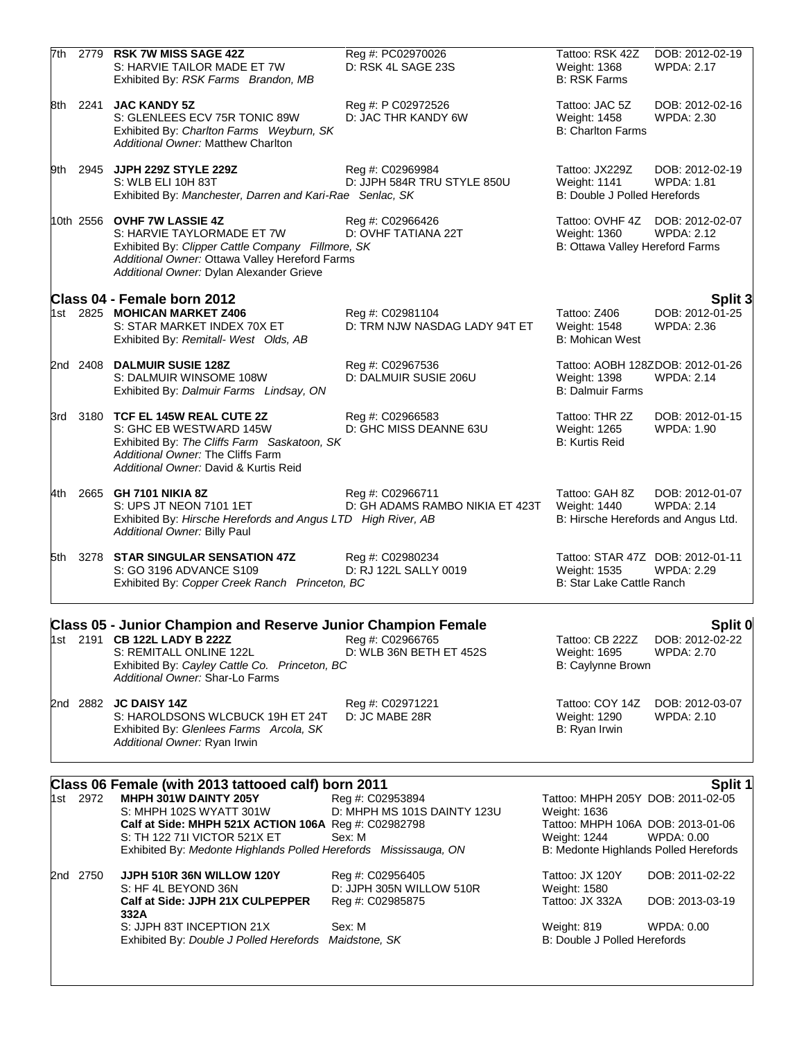| 7th |          | 2779 RSK 7W MISS SAGE 42Z<br>S: HARVIE TAILOR MADE ET 7W<br>Exhibited By: RSK Farms Brandon, MB                                                                                                                            | Reg #: PC02970026<br>D: RSK 4L SAGE 23S             | Tattoo: RSK 42Z<br><b>Weight: 1368</b><br><b>B: RSK Farms</b>                          | DOB: 2012-02-19<br><b>WPDA: 2.17</b>                  |
|-----|----------|----------------------------------------------------------------------------------------------------------------------------------------------------------------------------------------------------------------------------|-----------------------------------------------------|----------------------------------------------------------------------------------------|-------------------------------------------------------|
| 8th | 2241     | <b>JAC KANDY 5Z</b><br>S: GLENLEES ECV 75R TONIC 89W<br>Exhibited By: Charlton Farms Weyburn, SK<br><b>Additional Owner: Matthew Charlton</b>                                                                              | Reg #: P C02972526<br>D: JAC THR KANDY 6W           | Tattoo: JAC 5Z<br>Weight: 1458<br><b>B: Charlton Farms</b>                             | DOB: 2012-02-16<br><b>WPDA: 2.30</b>                  |
|     |          | 9th 2945 JJPH 229Z STYLE 229Z<br>S: WLB ELI 10H 83T<br>Exhibited By: Manchester, Darren and Kari-Rae Senlac, SK                                                                                                            | Reg #: C02969984<br>D: JJPH 584R TRU STYLE 850U     | Tattoo: JX229Z<br><b>Weight: 1141</b><br>B: Double J Polled Herefords                  | DOB: 2012-02-19<br>WPDA: 1.81                         |
|     |          | 10th 2556 OVHF 7W LASSIE 4Z<br>S: HARVIE TAYLORMADE ET 7W<br>Exhibited By: Clipper Cattle Company Fillmore, SK<br>Additional Owner: Ottawa Valley Hereford Farms<br>Additional Owner: Dylan Alexander Grieve               | Reg #: C02966426<br>D: OVHF TATIANA 22T             | Weight: 1360<br>B: Ottawa Valley Hereford Farms                                        | Tattoo: OVHF 4Z DOB: 2012-02-07<br><b>WPDA: 2.12</b>  |
|     |          | Class 04 - Female born 2012                                                                                                                                                                                                |                                                     |                                                                                        | Split 3                                               |
|     |          | 1st 2825 MOHICAN MARKET Z406<br>S: STAR MARKET INDEX 70X ET<br>Exhibited By: Remitall- West Olds, AB                                                                                                                       | Reg #: C02981104<br>D: TRM NJW NASDAG LADY 94T ET   | Tattoo: Z406<br>Weight: 1548<br><b>B: Mohican West</b>                                 | DOB: 2012-01-25<br><b>WPDA: 2.36</b>                  |
|     |          | 2nd 2408 DALMUIR SUSIE 128Z<br>S: DALMUIR WINSOME 108W<br>Exhibited By: Dalmuir Farms Lindsay, ON                                                                                                                          | Reg #: C02967536<br>D: DALMUIR SUSIE 206U           | Weight: 1398<br><b>B: Dalmuir Farms</b>                                                | Tattoo: AOBH 128ZDOB: 2012-01-26<br><b>WPDA: 2.14</b> |
|     |          | 3rd 3180 TCF EL 145W REAL CUTE 2Z<br>S: GHC EB WESTWARD 145W<br>Exhibited By: The Cliffs Farm Saskatoon, SK<br>Additional Owner: The Cliffs Farm<br>Additional Owner: David & Kurtis Reid                                  | Reg #: C02966583<br>D: GHC MISS DEANNE 63U          | Tattoo: THR 2Z<br>Weight: 1265<br><b>B: Kurtis Reid</b>                                | DOB: 2012-01-15<br>WPDA: 1.90                         |
|     |          | 4th 2665 GH 7101 NIKIA 8Z<br>S: UPS JT NEON 7101 1ET<br>Exhibited By: Hirsche Herefords and Angus LTD High River, AB<br>Additional Owner: Billy Paul                                                                       | Reg #: C02966711<br>D: GH ADAMS RAMBO NIKIA ET 423T | Tattoo: GAH 8Z<br>Weight: 1440<br>B: Hirsche Herefords and Angus Ltd.                  | DOB: 2012-01-07<br><b>WPDA: 2.14</b>                  |
|     |          | 5th 3278 STAR SINGULAR SENSATION 47Z<br>S: GO 3196 ADVANCE S109<br>Exhibited By: Copper Creek Ranch Princeton, BC                                                                                                          | Reg #: C02980234<br>D: RJ 122L SALLY 0019           | Tattoo: STAR 47Z DOB: 2012-01-11<br>Weight: 1535<br>B: Star Lake Cattle Ranch          | <b>WPDA: 2.29</b>                                     |
|     |          |                                                                                                                                                                                                                            |                                                     |                                                                                        |                                                       |
|     |          | <b>Class 05 - Junior Champion and Reserve Junior Champion Female</b><br>1st 2191 <b>CB 122L LADY B 222Z</b><br>S: REMITALL ONLINE 122L<br>Exhibited By: Cayley Cattle Co. Princeton, BC<br>Additional Owner: Shar-Lo Farms | Reg #: C02966765<br>D: WLB 36N BETH ET 452S         | Tattoo: CB 222Z<br>Weight: 1695<br>B: Caylynne Brown                                   | Split 0<br>DOB: 2012-02-22<br><b>WPDA: 2.70</b>       |
|     |          | 2nd 2882 <b>JC DAISY 14Z</b><br>S: HAROLDSONS WLCBUCK 19H ET 24T<br>Exhibited By: Glenlees Farms Arcola, SK<br>Additional Owner: Ryan Irwin                                                                                | Reg #: C02971221<br>D: JC MABE 28R                  | Tattoo: COY 14Z<br>Weight: 1290<br>B: Ryan Irwin                                       | DOB: 2012-03-07<br><b>WPDA: 2.10</b>                  |
|     |          | Class 06 Female (with 2013 tattooed calf) born 2011                                                                                                                                                                        |                                                     |                                                                                        | Split 1                                               |
|     | 1st 2972 | MHPH 301W DAINTY 205Y<br>S: MHPH 102S WYATT 301W<br>Calf at Side: MHPH 521X ACTION 106A Reg #: C02982798                                                                                                                   | Reg #: C02953894<br>D: MHPH MS 101S DAINTY 123U     | Tattoo: MHPH 205Y DOB: 2011-02-05<br>Weight: 1636<br>Tattoo: MHPH 106A DOB: 2013-01-06 |                                                       |
|     |          | S: TH 122 711 VICTOR 521X ET<br>Exhibited By: Medonte Highlands Polled Herefords Mississauga, ON                                                                                                                           | Sex: M                                              | Weight: 1244<br>B: Medonte Highlands Polled Herefords                                  | WPDA: 0.00                                            |
|     | 2nd 2750 | JJPH 510R 36N WILLOW 120Y                                                                                                                                                                                                  | Reg #: C02956405                                    | Tattoo: JX 120Y                                                                        | DOB: 2011-02-22                                       |

| S: HF 4L BEYOND 36N                                   | D: JJPH 305N WILLOW 510R | Weight: 1580                 |                 |
|-------------------------------------------------------|--------------------------|------------------------------|-----------------|
| Calf at Side: JJPH 21X CULPEPPER                      | Reg #: C02985875         | Tattoo: JX 332A              | DOB: 2013-03-19 |
| 332A                                                  |                          |                              |                 |
| S: JJPH 83T INCEPTION 21X                             | Sex: M                   | Weight: 819                  | WPDA: 0.00      |
| Exhibited By: Double J Polled Herefords Maidstone, SK |                          | B: Double J Polled Herefords |                 |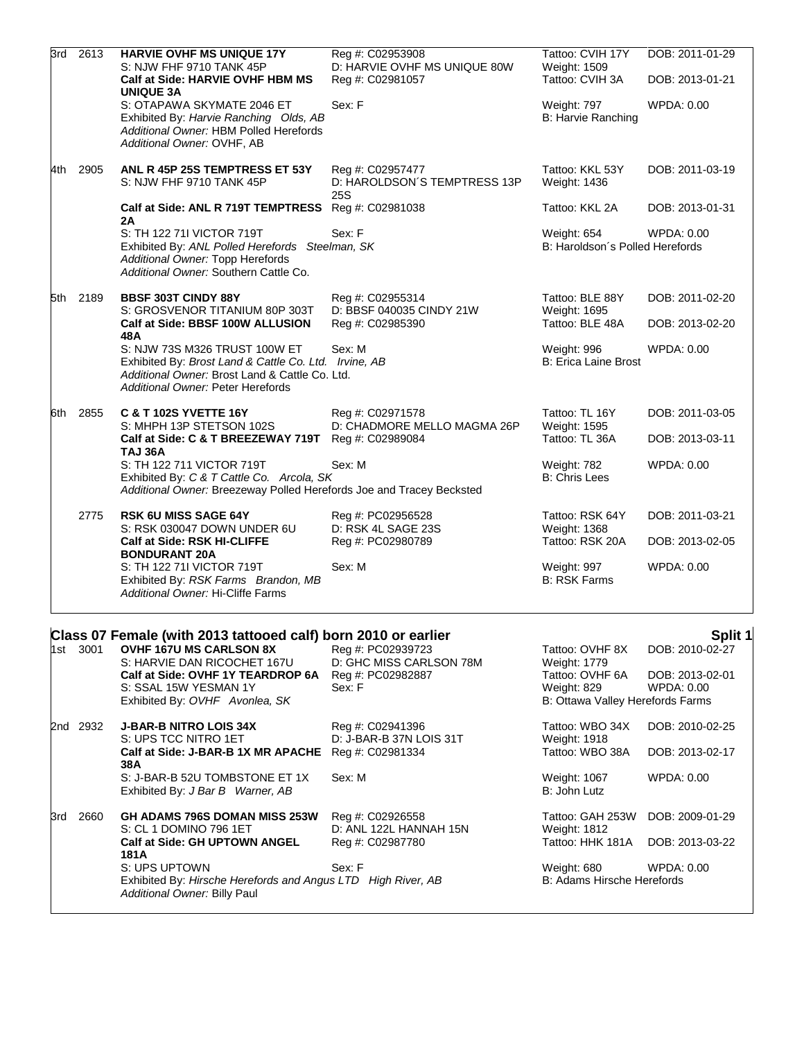| 3rd | 2613     | <b>HARVIE OVHF MS UNIQUE 17Y</b><br>S: NJW FHF 9710 TANK 45P<br>Calf at Side: HARVIE OVHF HBM MS                                                                              | Reg #: C02953908<br>D: HARVIE OVHF MS UNIQUE 80W<br>Reg #: C02981057 | Tattoo: CVIH 17Y<br>Weight: 1509<br>Tattoo: CVIH 3A     | DOB: 2011-01-29<br>DOB: 2013-01-21 |
|-----|----------|-------------------------------------------------------------------------------------------------------------------------------------------------------------------------------|----------------------------------------------------------------------|---------------------------------------------------------|------------------------------------|
|     |          | <b>UNIQUE 3A</b><br>S: OTAPAWA SKYMATE 2046 ET<br>Exhibited By: Harvie Ranching Olds, AB<br>Additional Owner: HBM Polled Herefords<br>Additional Owner: OVHF, AB              | Sex: F                                                               | <b>Weight: 797</b><br>B: Harvie Ranching                | WPDA: 0.00                         |
| 4th | 2905     | ANL R 45P 25S TEMPTRESS ET 53Y<br>S: NJW FHF 9710 TANK 45P                                                                                                                    | Reg #: C02957477<br>D: HAROLDSON'S TEMPTRESS 13P<br>25S              | Tattoo: KKL 53Y<br>Weight: 1436                         | DOB: 2011-03-19                    |
|     |          | Calf at Side: ANL R 719T TEMPTRESS<br>2A                                                                                                                                      | Reg #: C02981038                                                     | Tattoo: KKL 2A                                          | DOB: 2013-01-31                    |
|     |          | S: TH 122 71I VICTOR 719T<br>Exhibited By: ANL Polled Herefords Steelman, SK<br>Additional Owner: Topp Herefords<br>Additional Owner: Southern Cattle Co.                     | Sex: F                                                               | Weight: 654<br>B: Haroldson's Polled Herefords          | WPDA: 0.00                         |
|     | 5th 2189 | <b>BBSF 303T CINDY 88Y</b><br>S: GROSVENOR TITANIUM 80P 303T<br>Calf at Side: BBSF 100W ALLUSION<br>48A                                                                       | Reg #: C02955314<br>D: BBSF 040035 CINDY 21W<br>Reg #: C02985390     | Tattoo: BLE 88Y<br>Weight: 1695<br>Tattoo: BLE 48A      | DOB: 2011-02-20<br>DOB: 2013-02-20 |
|     |          | S: NJW 73S M326 TRUST 100W ET<br>Exhibited By: Brost Land & Cattle Co. Ltd. Irvine, AB<br>Additional Owner: Brost Land & Cattle Co. Ltd.<br>Additional Owner: Peter Herefords | Sex: M                                                               | Weight: 996<br>B: Erica Laine Brost                     | WPDA: 0.00                         |
| 6th | 2855     | <b>C &amp; T 102S YVETTE 16Y</b><br>S: MHPH 13P STETSON 102S<br>Calf at Side: C & T BREEZEWAY 719T                                                                            | Reg #: C02971578<br>D: CHADMORE MELLO MAGMA 26P<br>Reg #: C02989084  | Tattoo: TL 16Y<br><b>Weight: 1595</b><br>Tattoo: TL 36A | DOB: 2011-03-05<br>DOB: 2013-03-11 |
|     |          | <b>TAJ 36A</b><br>S: TH 122 711 VICTOR 719T<br>Exhibited By: C & T Cattle Co. Arcola, SK<br>Additional Owner: Breezeway Polled Herefords Joe and Tracey Becksted              | Sex: M                                                               | Weight: 782<br><b>B: Chris Lees</b>                     | WPDA: 0.00                         |
|     | 2775     | <b>RSK 6U MISS SAGE 64Y</b><br>S: RSK 030047 DOWN UNDER 6U                                                                                                                    | Reg #: PC02956528<br>D: RSK 4L SAGE 23S                              | Tattoo: RSK 64Y<br>Weight: 1368                         | DOB: 2011-03-21                    |
|     |          | Calf at Side: RSK HI-CLIFFE<br><b>BONDURANT 20A</b>                                                                                                                           | Reg #: PC02980789                                                    | Tattoo: RSK 20A                                         | DOB: 2013-02-05                    |
|     |          | S: TH 122 71I VICTOR 719T<br>Exhibited By: RSK Farms Brandon, MB<br>Additional Owner: Hi-Cliffe Farms                                                                         | Sex: M                                                               | Weight: 997<br><b>B: RSK Farms</b>                      | WPDA: 0.00                         |

## **Class 07 Female (with 2013 tattooed calf) born 2010 or earlier Split 1** Split 1

|     | 1st 3001 | <b>OVHF 167U MS CARLSON 8X</b><br>S: HARVIE DAN RICOCHET 167U                                | Reg #: PC02939723<br>D: GHC MISS CARLSON 78M | Tattoo: OVHF 8X<br>Weight: 1779  | DOB: 2010-02-27 |
|-----|----------|----------------------------------------------------------------------------------------------|----------------------------------------------|----------------------------------|-----------------|
|     |          | Calf at Side: OVHF 1Y TEARDROP 6A                                                            | Reg #: PC02982887                            | Tattoo: OVHF 6A                  | DOB: 2013-02-01 |
|     |          | S: SSAL 15W YESMAN 1Y                                                                        | Sex: F                                       | Weight: 829                      | WPDA: 0.00      |
|     |          | Exhibited By: OVHF Avonlea, SK                                                               |                                              | B: Ottawa Valley Herefords Farms |                 |
| 2nd | 2932     | <b>J-BAR-B NITRO LOIS 34X</b>                                                                | Reg #: C02941396                             | Tattoo: WBO 34X                  | DOB: 2010-02-25 |
|     |          | S: UPS TCC NITRO 1ET                                                                         | D: J-BAR-B 37N LOIS 31T                      | Weight: 1918                     |                 |
|     |          | Calf at Side: J-BAR-B 1X MR APACHE<br>38A                                                    | Reg #: C02981334                             | Tattoo: WBO 38A                  | DOB: 2013-02-17 |
|     |          | S: J-BAR-B 52U TOMBSTONE ET 1X                                                               | Sex: M                                       | Weight: 1067                     | WPDA: 0.00      |
|     |          | Exhibited By: J Bar B Warner, AB                                                             |                                              | B: John Lutz                     |                 |
| 3rd | 2660     | <b>GH ADAMS 796S DOMAN MISS 253W</b>                                                         | Reg #: C02926558                             | Tattoo: GAH 253W                 | DOB: 2009-01-29 |
|     |          | S: CL 1 DOMINO 796 1ET                                                                       | D: ANL 122L HANNAH 15N                       | Weight: 1812                     |                 |
|     |          | <b>Calf at Side: GH UPTOWN ANGEL</b>                                                         | Reg #: C02987780                             | Tattoo: HHK 181A                 | DOB: 2013-03-22 |
|     |          | 181A                                                                                         |                                              |                                  |                 |
|     |          | S: UPS UPTOWN                                                                                | Sex: F                                       | Weight: 680                      | WPDA: 0.00      |
|     |          | Exhibited By: Hirsche Herefords and Angus LTD High River, AB<br>Additional Owner: Billy Paul |                                              | B: Adams Hirsche Herefords       |                 |
|     |          |                                                                                              |                                              |                                  |                 |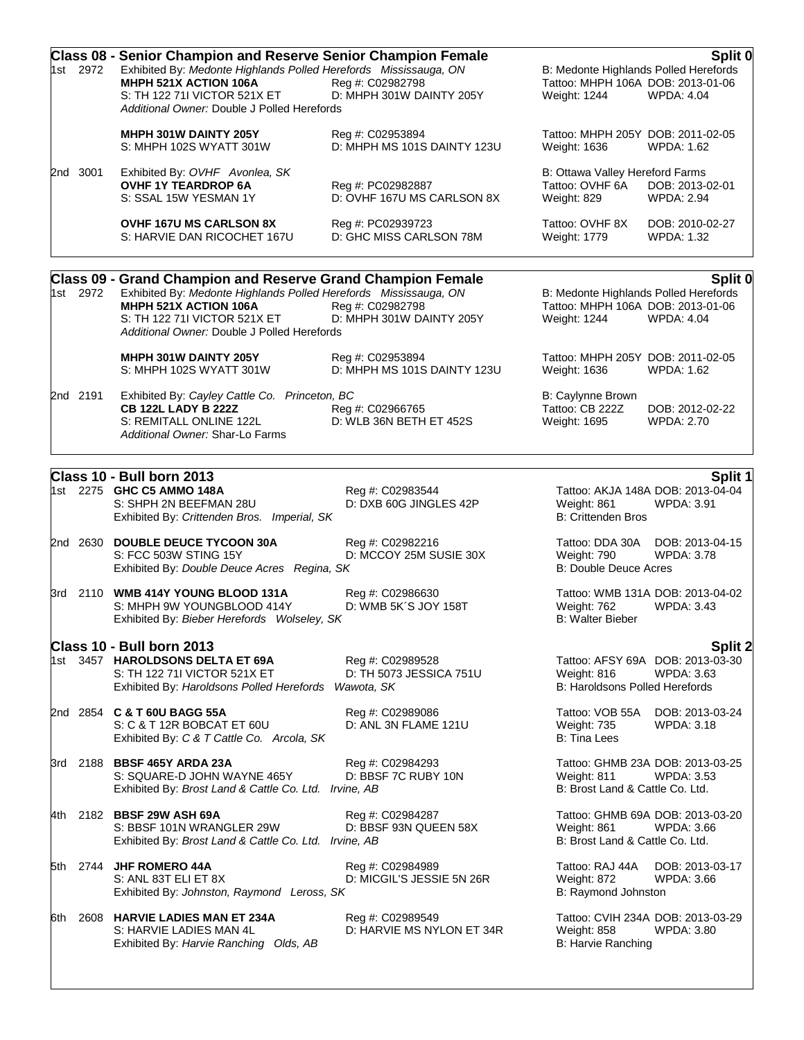|     | 1st 2972 | <b>Class 08 - Senior Champion and Reserve Senior Champion Female</b><br>Exhibited By: Medonte Highlands Polled Herefords Mississauga, ON<br>MHPH 521X ACTION 106A<br>S: TH 122 711 VICTOR 521X ET<br>Additional Owner: Double J Polled Herefords | Reg #: C02982798<br>D: MHPH 301W DAINTY 205Y              | B: Medonte Highlands Polled Herefords<br>Tattoo: MHPH 106A DOB: 2013-01-06<br>Weight: 1244 | Split 0<br><b>WPDA: 4.04</b>                           |
|-----|----------|--------------------------------------------------------------------------------------------------------------------------------------------------------------------------------------------------------------------------------------------------|-----------------------------------------------------------|--------------------------------------------------------------------------------------------|--------------------------------------------------------|
|     |          | <b>MHPH 301W DAINTY 205Y</b><br>S: MHPH 102S WYATT 301W                                                                                                                                                                                          | Reg #: C02953894<br>D: MHPH MS 101S DAINTY 123U           | Tattoo: MHPH 205Y DOB: 2011-02-05<br>Weight: 1636                                          | WPDA: 1.62                                             |
|     | 2nd 3001 | Exhibited By: OVHF Avonlea, SK<br><b>OVHF 1Y TEARDROP 6A</b><br>S: SSAL 15W YESMAN 1Y                                                                                                                                                            | Reg #: PC02982887<br>D: OVHF 167U MS CARLSON 8X           | B: Ottawa Valley Hereford Farms<br>Tattoo: OVHF 6A<br>Weight: 829                          | DOB: 2013-02-01<br><b>WPDA: 2.94</b>                   |
|     |          | <b>OVHF 167U MS CARLSON 8X</b><br>S: HARVIE DAN RICOCHET 167U                                                                                                                                                                                    | Reg #: PC02939723<br>D: GHC MISS CARLSON 78M              | Tattoo: OVHF 8X<br>Weight: 1779                                                            | DOB: 2010-02-27<br>WPDA: 1.32                          |
|     |          | Class 09 - Grand Champion and Reserve Grand Champion Female                                                                                                                                                                                      |                                                           |                                                                                            | Split 0                                                |
|     | 1st 2972 | Exhibited By: Medonte Highlands Polled Herefords Mississauga, ON<br>MHPH 521X ACTION 106A<br>S: TH 122 711 VICTOR 521X ET<br>Additional Owner: Double J Polled Herefords                                                                         | Reg #: C02982798<br>D: MHPH 301W DAINTY 205Y              | B: Medonte Highlands Polled Herefords<br>Tattoo: MHPH 106A DOB: 2013-01-06<br>Weight: 1244 | WPDA: 4.04                                             |
|     |          | MHPH 301W DAINTY 205Y<br>S: MHPH 102S WYATT 301W                                                                                                                                                                                                 | Reg #: C02953894<br>D: MHPH MS 101S DAINTY 123U           | Tattoo: MHPH 205Y DOB: 2011-02-05<br>Weight: 1636                                          | WPDA: 1.62                                             |
|     | 2nd 2191 | Exhibited By: Cayley Cattle Co. Princeton, BC<br><b>CB 122L LADY B 222Z</b><br>S: REMITALL ONLINE 122L<br>Additional Owner: Shar-Lo Farms                                                                                                        | Reg #: C02966765<br>D: WLB 36N BETH ET 452S               | B: Caylynne Brown<br>Tattoo: CB 222Z<br>Weight: 1695                                       | DOB: 2012-02-22<br><b>WPDA: 2.70</b>                   |
|     |          | Class 10 - Bull born 2013                                                                                                                                                                                                                        |                                                           |                                                                                            | Split 1                                                |
|     |          | 1st 2275 GHC C5 AMMO 148A<br>S: SHPH 2N BEEFMAN 28U<br>Exhibited By: Crittenden Bros. Imperial, SK                                                                                                                                               | Reg #: C02983544<br>D: DXB 60G JINGLES 42P                | Weight: 861<br><b>B: Crittenden Bros</b>                                                   | Tattoo: AKJA 148A DOB: 2013-04-04<br><b>WPDA: 3.91</b> |
|     | 2nd 2630 | <b>DOUBLE DEUCE TYCOON 30A</b><br>S: FCC 503W STING 15Y<br>Exhibited By: Double Deuce Acres Regina, SK                                                                                                                                           | Reg #: C02982216<br>D: MCCOY 25M SUSIE 30X                | Tattoo: DDA 30A<br>Weight: 790<br><b>B: Double Deuce Acres</b>                             | DOB: 2013-04-15<br><b>WPDA: 3.78</b>                   |
|     |          | 3rd 2110 WMB 414Y YOUNG BLOOD 131A<br>S: MHPH 9W YOUNGBLOOD 414Y<br>Exhibited By: Bieber Herefords Wolseley, SK                                                                                                                                  | Reg #: C02986630<br>D: WMB 5K'S JOY 158T                  | Weight: 762<br><b>B: Walter Bieber</b>                                                     | Tattoo: WMB 131A DOB: 2013-04-02<br><b>WPDA: 3.43</b>  |
|     |          | Class 10 - Bull born 2013                                                                                                                                                                                                                        |                                                           |                                                                                            | Split 2                                                |
|     |          | 1st 3457 HAROLDSONS DELTA ET 69A<br>S: TH 122 711 VICTOR 521X ET<br>Exhibited By: Haroldsons Polled Herefords                                                                                                                                    | Reg #: C02989528<br>D: TH 5073 JESSICA 751U<br>Wawota, SK | Weight: 816<br><b>B: Haroldsons Polled Herefords</b>                                       | Tattoo: AFSY 69A DOB: 2013-03-30<br>WPDA: 3.63         |
|     |          | 2nd 2854 C & T 60U BAGG 55A<br>S: C & T 12R BOBCAT ET 60U<br>Exhibited By: C & T Cattle Co. Arcola, SK                                                                                                                                           | Reg #: C02989086<br>D: ANL 3N FLAME 121U                  | Tattoo: VOB 55A<br><b>Weight: 735</b><br><b>B: Tina Lees</b>                               | DOB: 2013-03-24<br>WPDA: 3.18                          |
|     |          | 3rd 2188 BBSF 465Y ARDA 23A<br>S: SQUARE-D JOHN WAYNE 465Y<br>Exhibited By: Brost Land & Cattle Co. Ltd. Irvine, AB                                                                                                                              | Reg #: C02984293<br>D: BBSF 7C RUBY 10N                   | Weight: 811<br>B: Brost Land & Cattle Co. Ltd.                                             | Tattoo: GHMB 23A DOB: 2013-03-25<br><b>WPDA: 3.53</b>  |
| 4th |          | 2182 BBSF 29W ASH 69A<br>S: BBSF 101N WRANGLER 29W<br>Exhibited By: Brost Land & Cattle Co. Ltd. Irvine, AB                                                                                                                                      | Reg #: C02984287<br>D: BBSF 93N QUEEN 58X                 | Weight: 861<br>B: Brost Land & Cattle Co. Ltd.                                             | Tattoo: GHMB 69A DOB: 2013-03-20<br>WPDA: 3.66         |
|     |          | 5th 2744 JHF ROMERO 44A<br>S: ANL 83T ELI ET 8X<br>Exhibited By: Johnston, Raymond Leross, SK                                                                                                                                                    | Reg #: C02984989<br>D: MICGIL'S JESSIE 5N 26R             | Tattoo: RAJ 44A<br>Weight: 872<br>B: Raymond Johnston                                      | DOB: 2013-03-17<br><b>WPDA: 3.66</b>                   |
| 6th | 2608     | <b>HARVIE LADIES MAN ET 234A</b><br>S: HARVIE LADIES MAN 4L<br>Exhibited By: Harvie Ranching Olds, AB                                                                                                                                            | Reg #: C02989549<br>D: HARVIE MS NYLON ET 34R             | <b>Weight: 858</b><br>B: Harvie Ranching                                                   | Tattoo: CVIH 234A DOB: 2013-03-29<br><b>WPDA: 3.80</b> |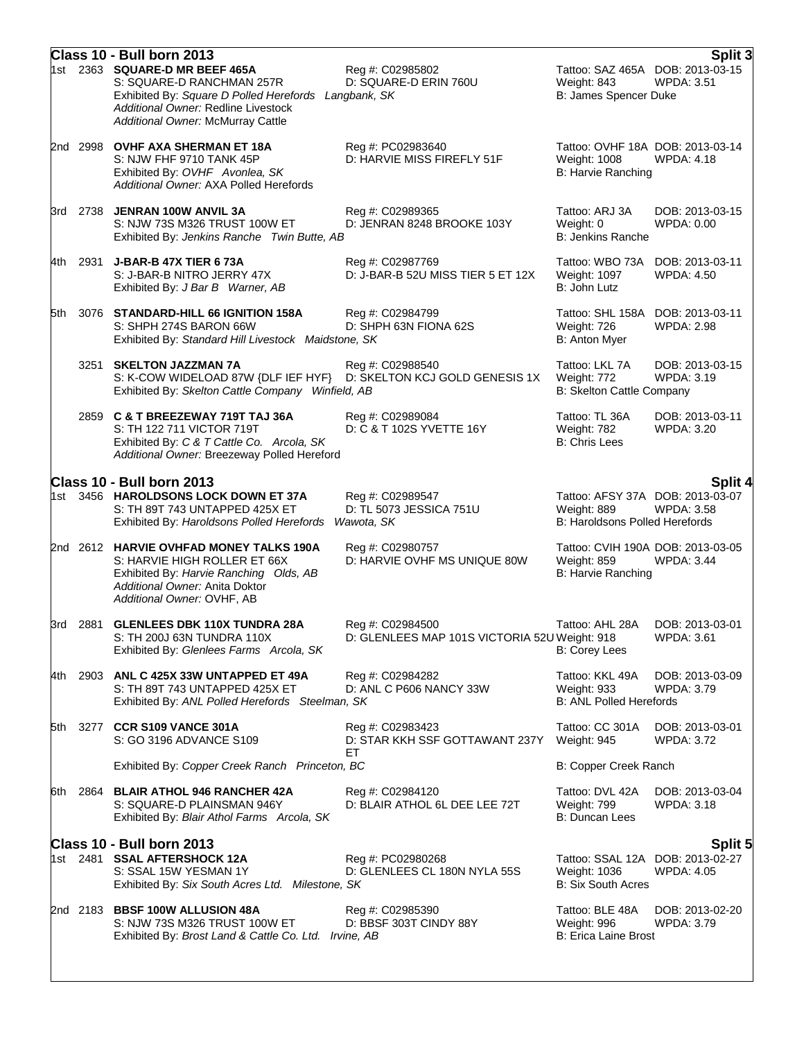|       |          | Class 10 - Bull born 2013                                                                                                                                                                              |                                                                   |                                                                                   | Split 3                              |
|-------|----------|--------------------------------------------------------------------------------------------------------------------------------------------------------------------------------------------------------|-------------------------------------------------------------------|-----------------------------------------------------------------------------------|--------------------------------------|
|       |          | 1st 2363 SQUARE-D MR BEEF 465A<br>S: SQUARE-D RANCHMAN 257R<br>Exhibited By: Square D Polled Herefords Langbank, SK<br>Additional Owner: Redline Livestock<br><b>Additional Owner: McMurray Cattle</b> | Reg #: C02985802<br>D: SQUARE-D ERIN 760U                         | Tattoo: SAZ 465A DOB: 2013-03-15<br>Weight: 843<br>B: James Spencer Duke          | <b>WPDA: 3.51</b>                    |
|       |          | 2nd 2998 OVHF AXA SHERMAN ET 18A<br>S: NJW FHF 9710 TANK 45P<br>Exhibited By: OVHF Avonlea, SK<br>Additional Owner: AXA Polled Herefords                                                               | Reg #: PC02983640<br>D: HARVIE MISS FIREFLY 51F                   | Tattoo: OVHF 18A DOB: 2013-03-14<br>Weight: 1008<br><b>B: Harvie Ranching</b>     | <b>WPDA: 4.18</b>                    |
|       |          | 3rd 2738 JENRAN 100W ANVIL 3A<br>S: NJW 73S M326 TRUST 100W ET<br>Exhibited By: Jenkins Ranche Twin Butte, AB                                                                                          | Reg #: C02989365<br>D: JENRAN 8248 BROOKE 103Y                    | Tattoo: ARJ 3A<br>Weight: 0<br><b>B: Jenkins Ranche</b>                           | DOB: 2013-03-15<br>WPDA: 0.00        |
|       | 4th 2931 | J-BAR-B 47X TIER 673A<br>S: J-BAR-B NITRO JERRY 47X<br>Exhibited By: J Bar B Warner, AB                                                                                                                | Reg #: C02987769<br>D: J-BAR-B 52U MISS TIER 5 ET 12X             | Tattoo: WBO 73A<br>Weight: 1097<br>B: John Lutz                                   | DOB: 2013-03-11<br><b>WPDA: 4.50</b> |
| 5th   |          | 3076 STANDARD-HILL 66 IGNITION 158A<br>S: SHPH 274S BARON 66W<br>Exhibited By: Standard Hill Livestock Maidstone, SK                                                                                   | Reg #: C02984799<br>D: SHPH 63N FIONA 62S                         | Tattoo: SHL 158A DOB: 2013-03-11<br>Weight: 726<br>B: Anton Myer                  | <b>WPDA: 2.98</b>                    |
|       |          | 3251 SKELTON JAZZMAN 7A<br>S: K-COW WIDELOAD 87W {DLF IEF HYF} D: SKELTON KCJ GOLD GENESIS 1X<br>Exhibited By: Skelton Cattle Company Winfield, AB                                                     | Reg #: C02988540                                                  | Tattoo: LKL 7A<br>Weight: 772<br>B: Skelton Cattle Company                        | DOB: 2013-03-15<br><b>WPDA: 3.19</b> |
|       |          | 2859 C & T BREEZEWAY 719T TAJ 36A<br>S: TH 122 711 VICTOR 719T<br>Exhibited By: C & T Cattle Co. Arcola, SK<br>Additional Owner: Breezeway Polled Hereford                                             | Reg #: C02989084<br>D: C & T 102S YVETTE 16Y                      | Tattoo: TL 36A<br>Weight: 782<br><b>B: Chris Lees</b>                             | DOB: 2013-03-11<br>WPDA: 3.20        |
|       |          | Class 10 - Bull born 2013<br>1st 3456 HAROLDSONS LOCK DOWN ET 37A<br>S: TH 89T 743 UNTAPPED 425X ET<br>Exhibited By: Haroldsons Polled Herefords                                                       | Reg #: C02989547<br>D: TL 5073 JESSICA 751U<br>Wawota, SK         | Tattoo: AFSY 37A DOB: 2013-03-07<br>Weight: 889<br>B: Haroldsons Polled Herefords | <b>Split 4</b><br><b>WPDA: 3.58</b>  |
|       |          | 2nd 2612 HARVIE OVHFAD MONEY TALKS 190A<br>S: HARVIE HIGH ROLLER ET 66X<br>Exhibited By: Harvie Ranching Olds, AB<br>Additional Owner: Anita Doktor<br>Additional Owner: OVHF, AB                      | Reg #: C02980757<br>D: HARVIE OVHF MS UNIQUE 80W                  | Tattoo: CVIH 190A DOB: 2013-03-05<br>Weight: 859<br><b>B: Harvie Ranching</b>     | <b>WPDA: 3.44</b>                    |
|       | 3rd 2881 | <b>GLENLEES DBK 110X TUNDRA 28A</b><br>S: TH 200J 63N TUNDRA 110X<br>Exhibited By: Glenlees Farms Arcola, SK                                                                                           | Reg #: C02984500<br>D: GLENLEES MAP 101S VICTORIA 52U Weight: 918 | Tattoo: AHL 28A<br><b>B: Corey Lees</b>                                           | DOB: 2013-03-01<br><b>WPDA: 3.61</b> |
| 4th - |          | 2903 ANL C 425X 33W UNTAPPED ET 49A<br>S: TH 89T 743 UNTAPPED 425X ET<br>Exhibited By: ANL Polled Herefords Steelman, SK                                                                               | Reg #: C02984282<br>D: ANL C P606 NANCY 33W                       | Tattoo: KKL 49A<br>Weight: 933<br><b>B: ANL Polled Herefords</b>                  | DOB: 2013-03-09<br>WPDA: 3.79        |
|       |          | 5th 3277 CCR S109 VANCE 301A<br>S: GO 3196 ADVANCE S109                                                                                                                                                | Reg #: C02983423<br>D: STAR KKH SSF GOTTAWANT 237Y<br>ET.         | Tattoo: CC 301A<br>Weight: 945                                                    | DOB: 2013-03-01<br><b>WPDA: 3.72</b> |
|       |          | Exhibited By: Copper Creek Ranch Princeton, BC                                                                                                                                                         |                                                                   | B: Copper Creek Ranch                                                             |                                      |
|       |          | 6th 2864 BLAIR ATHOL 946 RANCHER 42A<br>S: SQUARE-D PLAINSMAN 946Y<br>Exhibited By: Blair Athol Farms Arcola, SK                                                                                       | Reg #: C02984120<br>D: BLAIR ATHOL 6L DEE LEE 72T                 | Tattoo: DVL 42A<br>Weight: 799<br>B: Duncan Lees                                  | DOB: 2013-03-04<br><b>WPDA: 3.18</b> |
|       |          | Class 10 - Bull born 2013                                                                                                                                                                              |                                                                   |                                                                                   | <b>Split 5</b>                       |
|       |          | 1st 2481 SSAL AFTERSHOCK 12A<br>S: SSAL 15W YESMAN 1Y<br>Exhibited By: Six South Acres Ltd. Milestone, SK                                                                                              | Reg #: PC02980268<br>D: GLENLEES CL 180N NYLA 55S                 | Tattoo: SSAL 12A DOB: 2013-02-27<br>Weight: 1036<br><b>B: Six South Acres</b>     | <b>WPDA: 4.05</b>                    |
|       |          | 2nd 2183 BBSF 100W ALLUSION 48A<br>S: NJW 73S M326 TRUST 100W ET<br>Exhibited By: Brost Land & Cattle Co. Ltd. Irvine, AB                                                                              | Reg #: C02985390<br>D: BBSF 303T CINDY 88Y                        | Tattoo: BLE 48A<br>Weight: 996<br>B: Erica Laine Brost                            | DOB: 2013-02-20<br>WPDA: 3.79        |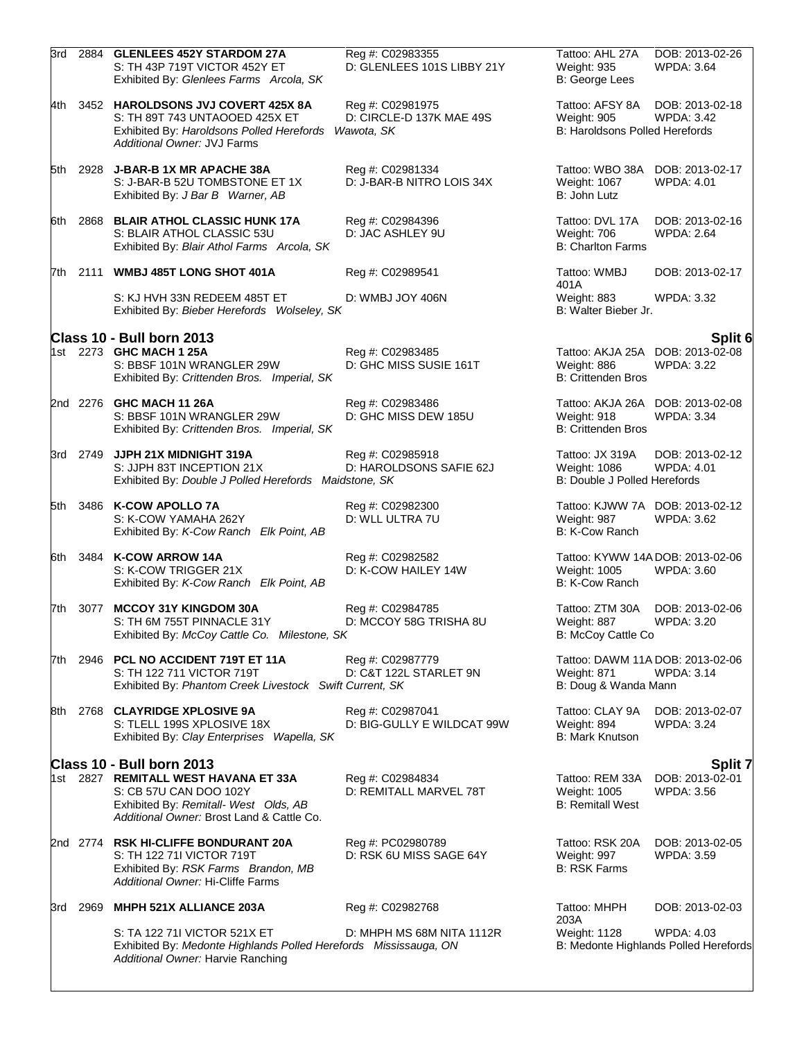|      |          | 3rd 2884 GLENLEES 452Y STARDOM 27A<br>S: TH 43P 719T VICTOR 452Y ET<br>Exhibited By: Glenlees Farms Arcola, SK                                       | Reg #: C02983355<br>D: GLENLEES 101S LIBBY 21Y             | Tattoo: AHL 27A<br><b>Weight: 935</b><br>B: George Lees            | DOB: 2013-02-26<br><b>WPDA: 3.64</b>                       |
|------|----------|------------------------------------------------------------------------------------------------------------------------------------------------------|------------------------------------------------------------|--------------------------------------------------------------------|------------------------------------------------------------|
|      |          | 4th 3452 HAROLDSONS JVJ COVERT 425X 8A<br>S: TH 89T 743 UNTAOOED 425X ET<br>Exhibited By: Haroldsons Polled Herefords<br>Additional Owner: JVJ Farms | Reg #: C02981975<br>D: CIRCLE-D 137K MAE 49S<br>Wawota, SK | Tattoo: AFSY 8A<br>Weight: 905<br>B: Haroldsons Polled Herefords   | DOB: 2013-02-18<br><b>WPDA: 3.42</b>                       |
|      |          | 5th 2928 J-BAR-B 1X MR APACHE 38A<br>S: J-BAR-B 52U TOMBSTONE ET 1X<br>Exhibited By: J Bar B Warner, AB                                              | Reg #: C02981334<br>D: J-BAR-B NITRO LOIS 34X              | Tattoo: WBO 38A<br>Weight: 1067<br>B: John Lutz                    | DOB: 2013-02-17<br><b>WPDA: 4.01</b>                       |
| 6th. |          | 2868 BLAIR ATHOL CLASSIC HUNK 17A<br>S: BLAIR ATHOL CLASSIC 53U<br>Exhibited By: Blair Athol Farms Arcola, SK                                        | Reg #: C02984396<br>D: JAC ASHLEY 9U                       | Tattoo: DVL 17A<br>Weight: 706<br><b>B: Charlton Farms</b>         | DOB: 2013-02-16<br><b>WPDA: 2.64</b>                       |
|      |          | 7th 2111 WMBJ 485T LONG SHOT 401A                                                                                                                    | Reg #: C02989541                                           | Tattoo: WMBJ<br>401A                                               | DOB: 2013-02-17                                            |
|      |          | S: KJ HVH 33N REDEEM 485T ET<br>Exhibited By: Bieber Herefords Wolseley, SK                                                                          | D: WMBJ JOY 406N                                           | Weight: 883<br>B: Walter Bieber Jr.                                | <b>WPDA: 3.32</b>                                          |
|      |          | Class 10 - Bull born 2013                                                                                                                            |                                                            |                                                                    | Split 6                                                    |
|      |          | 1st 2273 GHC MACH 1 25A<br>S: BBSF 101N WRANGLER 29W<br>Exhibited By: Crittenden Bros. Imperial, SK                                                  | Reg #: C02983485<br>D: GHC MISS SUSIE 161T                 | Weight: 886<br><b>B: Crittenden Bros</b>                           | Tattoo: AKJA 25A DOB: 2013-02-08<br><b>WPDA: 3.22</b>      |
|      |          | 2nd 2276 GHC MACH 11 26A<br>S: BBSF 101N WRANGLER 29W<br>Exhibited By: Crittenden Bros. Imperial, SK                                                 | Reg #: C02983486<br>D: GHC MISS DEW 185U                   | Weight: 918<br><b>B: Crittenden Bros</b>                           | Tattoo: AKJA 26A DOB: 2013-02-08<br>WPDA: 3.34             |
|      |          | 3rd 2749 JJPH 21X MIDNIGHT 319A<br>S: JJPH 83T INCEPTION 21X<br>Exhibited By: Double J Polled Herefords Maidstone, SK                                | Reg #: C02985918<br>D: HAROLDSONS SAFIE 62J                | Tattoo: JX 319A<br>Weight: 1086<br>B: Double J Polled Herefords    | DOB: 2013-02-12<br><b>WPDA: 4.01</b>                       |
| 5th  |          | 3486 K-COW APOLLO 7A<br>S: K-COW YAMAHA 262Y<br>Exhibited By: K-Cow Ranch Elk Point, AB                                                              | Reg #: C02982300<br>D: WLL ULTRA 7U                        | Weight: 987<br>B: K-Cow Ranch                                      | Tattoo: KJWW 7A DOB: 2013-02-12<br>WPDA: 3.62              |
|      |          | 6th 3484 K-COW ARROW 14A<br>S: K-COW TRIGGER 21X<br>Exhibited By: K-Cow Ranch Elk Point, AB                                                          | Reg #: C02982582<br>D: K-COW HAILEY 14W                    | Tattoo: KYWW 14A DOB: 2013-02-06<br>Weight: 1005<br>B: K-Cow Ranch | <b>WPDA: 3.60</b>                                          |
|      |          | 7th 3077 MCCOY 31Y KINGDOM 30A<br>S: TH 6M 755T PINNACLE 31Y<br>Exhibited By: McCoy Cattle Co. Milestone, SK                                         | Reg #: C02984785<br>D: MCCOY 58G TRISHA 8U                 | Tattoo: ZTM 30A<br>Weight: 887<br>B: McCoy Cattle Co               | DOB: 2013-02-06<br>WPDA: 3.20                              |
|      |          | 7th 2946 PCL NO ACCIDENT 719T ET 11A<br>S: TH 122 711 VICTOR 719T<br>Exhibited By: Phantom Creek Livestock Swift Current, SK                         | Reg #: C02987779<br>D: C&T 122L STARLET 9N                 | Weight: 871<br>B: Doug & Wanda Mann                                | Tattoo: DAWM 11A DOB: 2013-02-06<br><b>WPDA: 3.14</b>      |
|      |          | 8th 2768 CLAYRIDGE XPLOSIVE 9A<br>S: TLELL 199S XPLOSIVE 18X<br>Exhibited By: Clay Enterprises Wapella, SK                                           | Reg #: C02987041<br>D: BIG-GULLY E WILDCAT 99W             | Tattoo: CLAY 9A<br>Weight: 894<br><b>B: Mark Knutson</b>           | DOB: 2013-02-07<br><b>WPDA: 3.24</b>                       |
|      |          | Class 10 - Bull born 2013                                                                                                                            |                                                            |                                                                    | Split 7                                                    |
|      |          | 1st 2827 REMITALL WEST HAVANA ET 33A<br>S: CB 57U CAN DOO 102Y<br>Exhibited By: Remitall- West Olds, AB<br>Additional Owner: Brost Land & Cattle Co. | Reg #: C02984834<br>D: REMITALL MARVEL 78T                 | Tattoo: REM 33A<br>Weight: 1005<br><b>B: Remitall West</b>         | DOB: 2013-02-01<br><b>WPDA: 3.56</b>                       |
|      |          | 2nd 2774 RSK HI-CLIFFE BONDURANT 20A<br>S: TH 122 711 VICTOR 719T<br>Exhibited By: RSK Farms Brandon, MB<br>Additional Owner: Hi-Cliffe Farms        | Reg #: PC02980789<br>D: RSK 6U MISS SAGE 64Y               | Tattoo: RSK 20A<br>Weight: 997<br><b>B: RSK Farms</b>              | DOB: 2013-02-05<br><b>WPDA: 3.59</b>                       |
|      | 3rd 2969 | MHPH 521X ALLIANCE 203A                                                                                                                              | Reg #: C02982768                                           | Tattoo: MHPH                                                       | DOB: 2013-02-03                                            |
|      |          | S: TA 122 711 VICTOR 521X ET<br>Exhibited By: Medonte Highlands Polled Herefords Mississauga, ON<br>Additional Owner: Harvie Ranching                | D: MHPH MS 68M NITA 1112R                                  | 203A<br>Weight: 1128                                               | <b>WPDA: 4.03</b><br>B: Medonte Highlands Polled Herefords |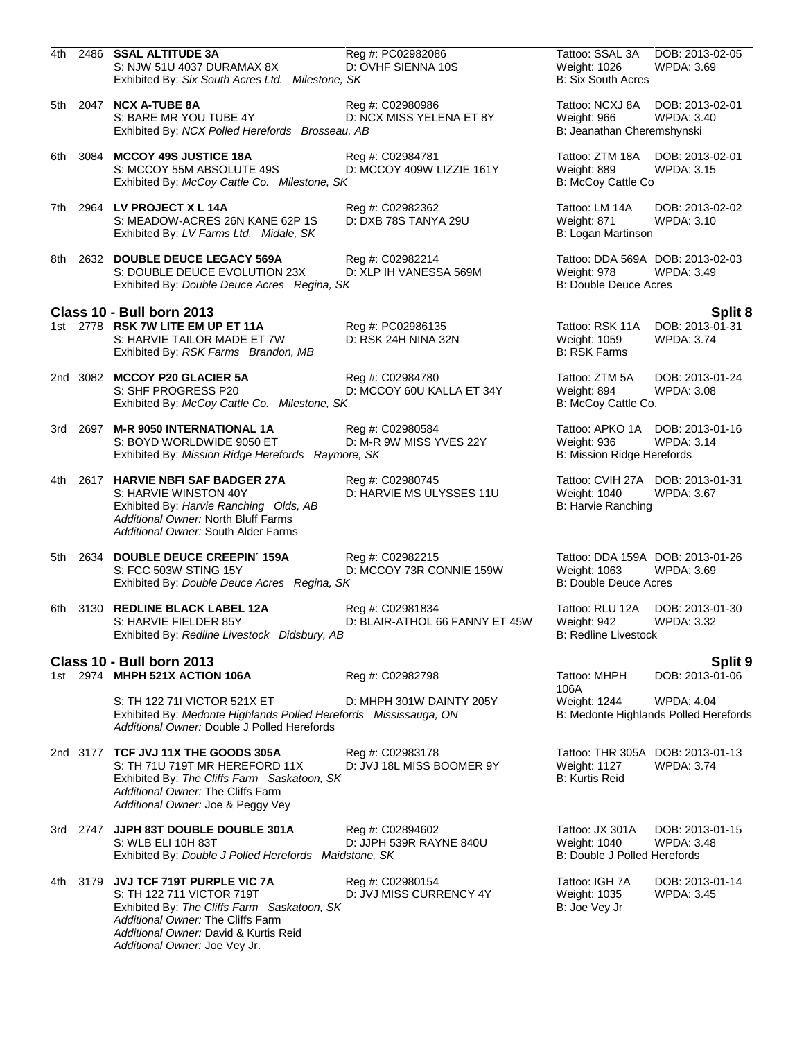| 4th   |      | 2486 SSAL ALTITUDE 3A<br>S: NJW 51U 4037 DURAMAX 8X<br>Exhibited By: Six South Acres Ltd. Milestone, SK                                                                                                               | Reg #: PC02982086<br>D: OVHF SIENNA 10S            | Tattoo: SSAL 3A<br>Weight: 1026<br><b>B: Six South Acres</b>    | DOB: 2013-02-05<br><b>WPDA: 3.69</b>                       |
|-------|------|-----------------------------------------------------------------------------------------------------------------------------------------------------------------------------------------------------------------------|----------------------------------------------------|-----------------------------------------------------------------|------------------------------------------------------------|
|       |      | 5th 2047 NCX A-TUBE 8A<br>S: BARE MR YOU TUBE 4Y<br>Exhibited By: NCX Polled Herefords Brosseau, AB                                                                                                                   | Reg #: C02980986<br>D: NCX MISS YELENA ET 8Y       | Tattoo: NCXJ 8A<br>Weight: 966<br>B: Jeanathan Cheremshynski    | DOB: 2013-02-01<br><b>WPDA: 3.40</b>                       |
|       |      | 6th 3084 MCCOY 49S JUSTICE 18A<br>S: MCCOY 55M ABSOLUTE 49S<br>Exhibited By: McCoy Cattle Co. Milestone, SK                                                                                                           | Reg #: C02984781<br>D: MCCOY 409W LIZZIE 161Y      | Tattoo: ZTM 18A<br>Weight: 889<br>B: McCoy Cattle Co            | DOB: 2013-02-01<br><b>WPDA: 3.15</b>                       |
|       |      | 7th 2964 LV PROJECT X L 14A<br>S: MEADOW-ACRES 26N KANE 62P 1S<br>Exhibited By: LV Farms Ltd. Midale, SK                                                                                                              | Reg #: C02982362<br>D: DXB 78S TANYA 29U           | Tattoo: LM 14A<br>Weight: 871<br>B: Logan Martinson             | DOB: 2013-02-02<br>WPDA: 3.10                              |
|       |      | 8th 2632 DOUBLE DEUCE LEGACY 569A<br>S: DOUBLE DEUCE EVOLUTION 23X<br>Exhibited By: Double Deuce Acres Regina, SK                                                                                                     | Reg #: C02982214<br>D: XLP IH VANESSA 569M         | Weight: 978<br><b>B: Double Deuce Acres</b>                     | Tattoo: DDA 569A DOB: 2013-02-03<br>WPDA: 3.49             |
|       |      | Class 10 - Bull born 2013                                                                                                                                                                                             |                                                    |                                                                 | Split 8                                                    |
|       |      | 1st 2778 RSK 7W LITE EM UP ET 11A<br>S: HARVIE TAILOR MADE ET 7W<br>Exhibited By: RSK Farms Brandon, MB                                                                                                               | Reg #: PC02986135<br>D: RSK 24H NINA 32N           | Tattoo: RSK 11A<br>Weight: 1059<br><b>B: RSK Farms</b>          | DOB: 2013-01-31<br><b>WPDA: 3.74</b>                       |
|       |      | 2nd 3082 MCCOY P20 GLACIER 5A<br>S: SHF PROGRESS P20<br>Exhibited By: McCoy Cattle Co. Milestone, SK                                                                                                                  | Reg #: C02984780<br>D: MCCOY 60U KALLA ET 34Y      | Tattoo: ZTM 5A<br>Weight: 894<br>B: McCoy Cattle Co.            | DOB: 2013-01-24<br><b>WPDA: 3.08</b>                       |
|       |      | 3rd 2697 M-R 9050 INTERNATIONAL 1A<br>S: BOYD WORLDWIDE 9050 ET<br>Exhibited By: Mission Ridge Herefords Raymore, SK                                                                                                  | Reg #: C02980584<br>D: M-R 9W MISS YVES 22Y        | Tattoo: APKO 1A<br>Weight: 936<br>B: Mission Ridge Herefords    | DOB: 2013-01-16<br><b>WPDA: 3.14</b>                       |
| 4th   |      | 2617 HARVIE NBFI SAF BADGER 27A<br>S: HARVIE WINSTON 40Y<br>Exhibited By: Harvie Ranching Olds, AB<br>Additional Owner: North Bluff Farms<br>Additional Owner: South Alder Farms                                      | Reg #: C02980745<br>D: HARVIE MS ULYSSES 11U       | Weight: 1040<br>B: Harvie Ranching                              | Tattoo: CVIH 27A DOB: 2013-01-31<br>WPDA: 3.67             |
|       |      | 5th 2634 DOUBLE DEUCE CREEPIN' 159A<br>S: FCC 503W STING 15Y<br>Exhibited By: Double Deuce Acres Regina, SK                                                                                                           | Reg #: C02982215<br>D: MCCOY 73R CONNIE 159W       | Weight: 1063<br><b>B: Double Deuce Acres</b>                    | Tattoo: DDA 159A DOB: 2013-01-26<br>WPDA: 3.69             |
| 6th.  |      | 3130 REDLINE BLACK LABEL 12A<br>S: HARVIE FIELDER 85Y<br>Exhibited By: Redline Livestock Didsbury, AB                                                                                                                 | Reg #: C02981834<br>D: BLAIR-ATHOL 66 FANNY ET 45W | Tattoo: RLU 12A<br>Weight: 942<br><b>B: Redline Livestock</b>   | DOB: 2013-01-30<br><b>WPDA: 3.32</b>                       |
|       |      | Class 10 - Bull born 2013                                                                                                                                                                                             |                                                    |                                                                 | Split 9                                                    |
|       |      | 1st 2974 MHPH 521X ACTION 106A                                                                                                                                                                                        | Reg #: C02982798                                   | Tattoo: MHPH<br>106A                                            | DOB: 2013-01-06                                            |
|       |      | S: TH 122 711 VICTOR 521X ET<br>Exhibited By: Medonte Highlands Polled Herefords Mississauga, ON<br>Additional Owner: Double J Polled Herefords                                                                       | D: MHPH 301W DAINTY 205Y                           | Weight: 1244                                                    | <b>WPDA: 4.04</b><br>B: Medonte Highlands Polled Herefords |
|       |      | 2nd 3177 TCF JVJ 11X THE GOODS 305A<br>S: TH 71U 719T MR HEREFORD 11X<br>Exhibited By: The Cliffs Farm Saskatoon, SK<br>Additional Owner: The Cliffs Farm<br>Additional Owner: Joe & Peggy Vey                        | Reg #: C02983178<br>D: JVJ 18L MISS BOOMER 9Y      | Weight: 1127<br><b>B: Kurtis Reid</b>                           | Tattoo: THR 305A DOB: 2013-01-13<br><b>WPDA: 3.74</b>      |
|       |      | 3rd 2747 JJPH 83T DOUBLE DOUBLE 301A<br>S: WLB ELI 10H 83T<br>Exhibited By: Double J Polled Herefords Maidstone, SK                                                                                                   | Reg #: C02894602<br>D: JJPH 539R RAYNE 840U        | Tattoo: JX 301A<br>Weight: 1040<br>B: Double J Polled Herefords | DOB: 2013-01-15<br><b>WPDA: 3.48</b>                       |
| 4th l | 3179 | JVJ TCF 719T PURPLE VIC 7A<br>S: TH 122 711 VICTOR 719T<br>Exhibited By: The Cliffs Farm Saskatoon, SK<br>Additional Owner: The Cliffs Farm<br>Additional Owner: David & Kurtis Reid<br>Additional Owner: Joe Vey Jr. | Reg #: C02980154<br>D: JVJ MISS CURRENCY 4Y        | Tattoo: IGH 7A<br>Weight: 1035<br>B: Joe Vey Jr                 | DOB: 2013-01-14<br><b>WPDA: 3.45</b>                       |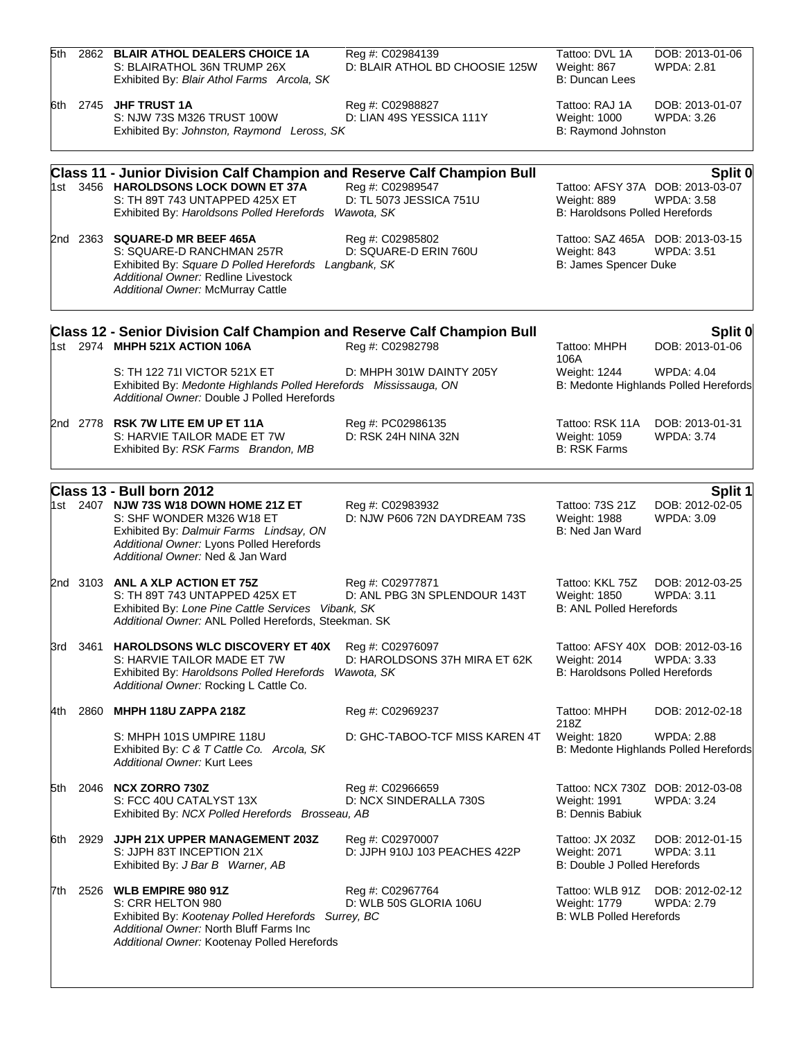| 5th   |          | 2862 BLAIR ATHOL DEALERS CHOICE 1A<br>S: BLAIRATHOL 36N TRUMP 26X<br>Exhibited By: Blair Athol Farms Arcola, SK                                                                                                            | Reg #: C02984139<br>D: BLAIR ATHOL BD CHOOSIE 125W | Tattoo: DVL 1A<br>Weight: 867<br><b>B: Duncan Lees</b>                 | DOB: 2013-01-06<br><b>WPDA: 2.81</b>                             |
|-------|----------|----------------------------------------------------------------------------------------------------------------------------------------------------------------------------------------------------------------------------|----------------------------------------------------|------------------------------------------------------------------------|------------------------------------------------------------------|
| 6th   |          | 2745 JHF TRUST 1A<br>S: NJW 73S M326 TRUST 100W<br>Exhibited By: Johnston, Raymond Leross, SK                                                                                                                              | Reg #: C02988827<br>D: LIAN 49S YESSICA 111Y       | Tattoo: RAJ 1A<br>Weight: 1000<br>B: Raymond Johnston                  | DOB: 2013-01-07<br><b>WPDA: 3.26</b>                             |
|       |          |                                                                                                                                                                                                                            |                                                    |                                                                        |                                                                  |
|       |          | <b>Class 11 - Junior Division Calf Champion and Reserve Calf Champion Bull</b><br>1st 3456 HAROLDSONS LOCK DOWN ET 37A<br>S: TH 89T 743 UNTAPPED 425X ET<br>Exhibited By: Haroldsons Polled Herefords Wawota, SK           | Reg #: C02989547<br>D: TL 5073 JESSICA 751U        | Weight: 889<br>B: Haroldsons Polled Herefords                          | Split 0<br>Tattoo: AFSY 37A DOB: 2013-03-07<br><b>WPDA: 3.58</b> |
|       |          | 2nd 2363 SQUARE-D MR BEEF 465A<br>S: SQUARE-D RANCHMAN 257R<br>Exhibited By: Square D Polled Herefords Langbank, SK<br>Additional Owner: Redline Livestock<br>Additional Owner: McMurray Cattle                            | Reg #: C02985802<br>D: SQUARE-D ERIN 760U          | Weight: 843<br>B: James Spencer Duke                                   | Tattoo: SAZ 465A DOB: 2013-03-15<br><b>WPDA: 3.51</b>            |
|       |          | Class 12 - Senior Division Calf Champion and Reserve Calf Champion Bull<br>1st 2974 MHPH 521X ACTION 106A                                                                                                                  | Reg #: C02982798                                   | Tattoo: MHPH<br>106A                                                   | Split 0<br>DOB: 2013-01-06                                       |
|       |          | S: TH 122 711 VICTOR 521X ET<br>Exhibited By: Medonte Highlands Polled Herefords Mississauga, ON<br>Additional Owner: Double J Polled Herefords                                                                            | D: MHPH 301W DAINTY 205Y                           | Weight: 1244                                                           | <b>WPDA: 4.04</b><br>B: Medonte Highlands Polled Herefords       |
|       | 2nd 2778 | <b>RSK 7W LITE EM UP ET 11A</b><br>S: HARVIE TAILOR MADE ET 7W<br>Exhibited By: RSK Farms Brandon, MB                                                                                                                      | Reg #: PC02986135<br>D: RSK 24H NINA 32N           | Tattoo: RSK 11A<br>Weight: 1059<br><b>B: RSK Farms</b>                 | DOB: 2013-01-31<br><b>WPDA: 3.74</b>                             |
|       |          |                                                                                                                                                                                                                            |                                                    |                                                                        |                                                                  |
|       |          | Class 13 - Bull born 2012<br>1st 2407 NJW 73S W18 DOWN HOME 21Z ET<br>S: SHF WONDER M326 W18 ET<br>Exhibited By: Dalmuir Farms Lindsay, ON<br>Additional Owner: Lyons Polled Herefords<br>Additional Owner: Ned & Jan Ward | Reg #: C02983932<br>D: NJW P606 72N DAYDREAM 73S   | Tattoo: 73S 21Z<br>Weight: 1988<br>B: Ned Jan Ward                     | Split 1<br>DOB: 2012-02-05<br><b>WPDA: 3.09</b>                  |
|       | 2nd 3103 | ANL A XLP ACTION ET 75Z<br>S: TH 89T 743 UNTAPPED 425X ET<br>Exhibited By: Lone Pine Cattle Services Vibank, SK<br>Additional Owner: ANL Polled Herefords, Steekman. SK                                                    | Reg #: C02977871<br>D: ANL PBG 3N SPLENDOUR 143T   | Tattoo: KKL 75Z<br>Weight: 1850<br><b>B: ANL Polled Herefords</b>      | DOB: 2012-03-25<br><b>WPDA: 3.11</b>                             |
| 3rd - | 3461     | HAROLDSONS WLC DISCOVERY ET 40X<br>S: HARVIE TAILOR MADE ET 7W<br>Exhibited By: Haroldsons Polled Herefords Wawota, SK<br>Additional Owner: Rocking L Cattle Co.                                                           | Reg #: C02976097<br>D: HAROLDSONS 37H MIRA ET 62K  | Weight: 2014<br>B: Haroldsons Polled Herefords                         | Tattoo: AFSY 40X DOB: 2012-03-16<br>WPDA: 3.33                   |
| 4th   | 2860     | MHPH 118U ZAPPA 218Z                                                                                                                                                                                                       | Reg #: C02969237                                   | Tattoo: MHPH                                                           | DOB: 2012-02-18                                                  |
|       |          | S: MHPH 101S UMPIRE 118U<br>Exhibited By: C & T Cattle Co. Arcola, SK<br><b>Additional Owner: Kurt Lees</b>                                                                                                                | D: GHC-TABOO-TCF MISS KAREN 4T                     | 218Z<br>Weight: 1820                                                   | <b>WPDA: 2.88</b><br>B: Medonte Highlands Polled Herefords       |
| 5th   | 2046     | <b>NCX ZORRO 730Z</b><br>S: FCC 40U CATALYST 13X<br>Exhibited By: NCX Polled Herefords Brosseau, AB                                                                                                                        | Reg #: C02966659<br>D: NCX SINDERALLA 730S         | Weight: 1991<br><b>B: Dennis Babiuk</b>                                | Tattoo: NCX 730Z DOB: 2012-03-08<br><b>WPDA: 3.24</b>            |
| 6th   | 2929     | JJPH 21X UPPER MANAGEMENT 203Z<br>S: JJPH 83T INCEPTION 21X<br>Exhibited By: J Bar B Warner, AB                                                                                                                            | Reg #: C02970007<br>D: JJPH 910J 103 PEACHES 422P  | Tattoo: JX 203Z<br><b>Weight: 2071</b><br>B: Double J Polled Herefords | DOB: 2012-01-15<br>WPDA: 3.11                                    |
| 7th   | 2526     | <b>WLB EMPIRE 980 91Z</b><br>S: CRR HELTON 980<br>Exhibited By: Kootenay Polled Herefords Surrey, BC<br>Additional Owner: North Bluff Farms Inc<br>Additional Owner: Kootenay Polled Herefords                             | Reg #: C02967764<br>D: WLB 50S GLORIA 106U         | Tattoo: WLB 91Z<br>Weight: 1779<br><b>B: WLB Polled Herefords</b>      | DOB: 2012-02-12<br>WPDA: 2.79                                    |
|       |          |                                                                                                                                                                                                                            |                                                    |                                                                        |                                                                  |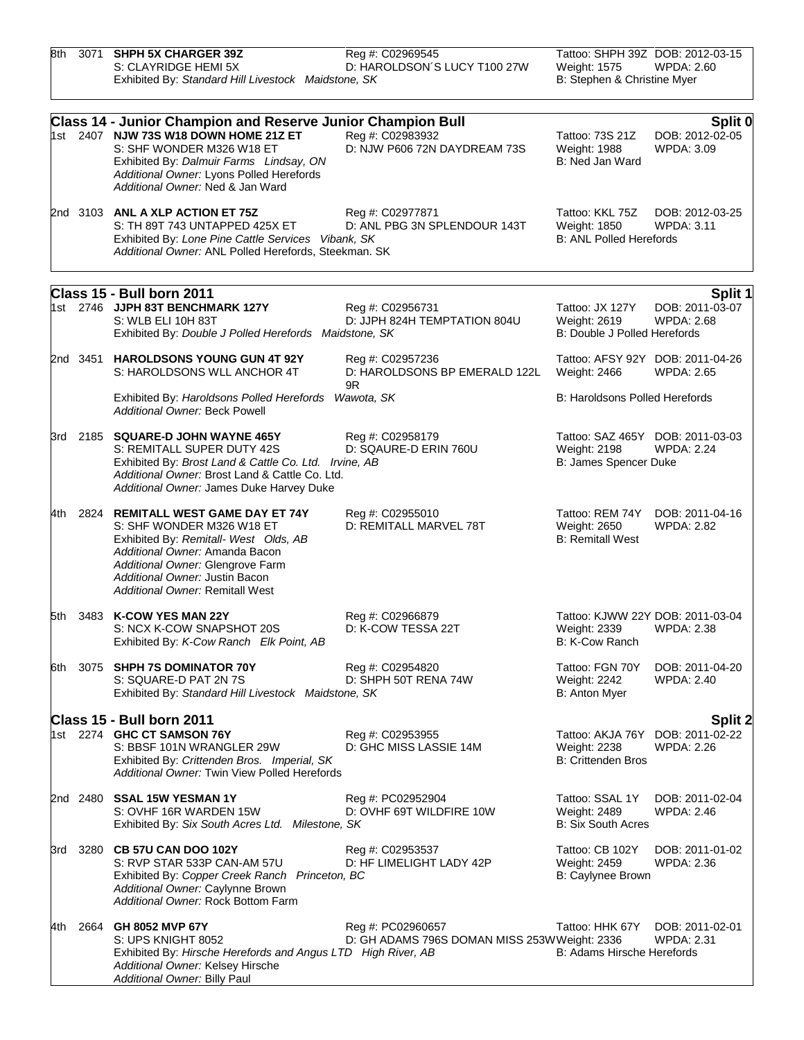| 8th | 3071 | <b>SHPH 5X CHARGER 39Z</b><br>S: CLAYRIDGE HEMI 5X<br>Exhibited By: Standard Hill Livestock Maidstone, SK                                                                                                                                                           | Reg #: C02969545<br>D: HAROLDSON'S LUCY T100 27W                  | Tattoo: SHPH 39Z DOB: 2012-03-15<br>Weight: 1575<br>B: Stephen & Christine Myer | <b>WPDA: 2.60</b>                                      |
|-----|------|---------------------------------------------------------------------------------------------------------------------------------------------------------------------------------------------------------------------------------------------------------------------|-------------------------------------------------------------------|---------------------------------------------------------------------------------|--------------------------------------------------------|
|     |      | <b>Class 14 - Junior Champion and Reserve Junior Champion Bull</b><br>1st 2407 NJW 73S W18 DOWN HOME 21Z ET<br>S: SHF WONDER M326 W18 ET<br>Exhibited By: Dalmuir Farms Lindsay, ON<br>Additional Owner: Lyons Polled Herefords<br>Additional Owner: Ned & Jan Ward | Reg #: C02983932<br>D: NJW P606 72N DAYDREAM 73S                  | Tattoo: 73S 21Z<br>Weight: 1988<br>B: Ned Jan Ward                              | Split 0<br>DOB: 2012-02-05<br>WPDA: 3.09               |
|     |      | 2nd 3103 ANL A XLP ACTION ET 75Z<br>S: TH 89T 743 UNTAPPED 425X ET<br>Exhibited By: Lone Pine Cattle Services Vibank, SK<br>Additional Owner: ANL Polled Herefords, Steekman. SK                                                                                    | Reg #: C02977871<br>D: ANL PBG 3N SPLENDOUR 143T                  | Tattoo: KKL 75Z<br>Weight: 1850<br><b>B: ANL Polled Herefords</b>               | DOB: 2012-03-25<br><b>WPDA: 3.11</b>                   |
|     |      |                                                                                                                                                                                                                                                                     |                                                                   |                                                                                 |                                                        |
|     |      | Class 15 - Bull born 2011<br>1st 2746 JJPH 83T BENCHMARK 127Y<br>S: WLB ELI 10H 83T<br>Exhibited By: Double J Polled Herefords Maidstone, SK                                                                                                                        | Reg #: C02956731<br>D: JJPH 824H TEMPTATION 804U                  | Tattoo: JX 127Y<br>Weight: 2619<br><b>B: Double J Polled Herefords</b>          | <b>Split 1</b><br>DOB: 2011-03-07<br><b>WPDA: 2.68</b> |
|     |      | 2nd 3451 HAROLDSONS YOUNG GUN 4T 92Y<br>S: HAROLDSONS WLL ANCHOR 4T                                                                                                                                                                                                 | Reg #: C02957236<br>D: HAROLDSONS BP EMERALD 122L<br>9R           | Tattoo: AFSY 92Y DOB: 2011-04-26<br>Weight: 2466                                | <b>WPDA: 2.65</b>                                      |
|     |      | Exhibited By: Haroldsons Polled Herefords<br>Additional Owner: Beck Powell                                                                                                                                                                                          | Wawota, SK                                                        | B: Haroldsons Polled Herefords                                                  |                                                        |
|     |      | 3rd 2185 SQUARE-D JOHN WAYNE 465Y<br>S: REMITALL SUPER DUTY 42S<br>Exhibited By: Brost Land & Cattle Co. Ltd. Irvine, AB<br>Additional Owner: Brost Land & Cattle Co. Ltd.<br>Additional Owner: James Duke Harvey Duke                                              | Reg #: C02958179<br>D: SQAURE-D ERIN 760U                         | Tattoo: SAZ 465Y DOB: 2011-03-03<br>Weight: 2198<br>B: James Spencer Duke       | <b>WPDA: 2.24</b>                                      |
| 4th |      | 2824 REMITALL WEST GAME DAY ET 74Y<br>S: SHF WONDER M326 W18 ET<br>Exhibited By: Remitall- West Olds, AB<br>Additional Owner: Amanda Bacon<br>Additional Owner: Glengrove Farm<br>Additional Owner: Justin Bacon<br>Additional Owner: Remitall West                 | Reg #: C02955010<br>D: REMITALL MARVEL 78T                        | Tattoo: REM 74Y<br>Weight: 2650<br><b>B: Remitall West</b>                      | DOB: 2011-04-16<br><b>WPDA: 2.82</b>                   |
| 5th |      | 3483 K-COW YES MAN 22Y<br>S: NCX K-COW SNAPSHOT 20S<br>Exhibited By: K-Cow Ranch Elk Point, AB                                                                                                                                                                      | Reg #: C02966879<br>D: K-COW TESSA 22T                            | Tattoo: KJWW 22Y DOB: 2011-03-04<br>Weight: 2339<br>B: K-Cow Ranch              | <b>WPDA: 2.38</b>                                      |
|     |      | 6th 3075 SHPH 7S DOMINATOR 70Y<br>S: SQUARE-D PAT 2N 7S<br>Exhibited By: Standard Hill Livestock Maidstone, SK                                                                                                                                                      | Reg #: C02954820<br>D: SHPH 50T RENA 74W                          | Tattoo: FGN 70Y<br><b>Weight: 2242</b><br>B: Anton Myer                         | DOB: 2011-04-20<br><b>WPDA: 2.40</b>                   |
|     |      | Class 15 - Bull born 2011                                                                                                                                                                                                                                           |                                                                   |                                                                                 | Split 2                                                |
|     |      | 1st 2274 GHC CT SAMSON 76Y<br>S: BBSF 101N WRANGLER 29W<br>Exhibited By: Crittenden Bros. Imperial, SK<br>Additional Owner: Twin View Polled Herefords                                                                                                              | Reg #: C02953955<br>D: GHC MISS LASSIE 14M                        | Tattoo: AKJA 76Y DOB: 2011-02-22<br>Weight: 2238<br><b>B: Crittenden Bros</b>   | <b>WPDA: 2.26</b>                                      |
|     |      | 2nd 2480 SSAL 15W YESMAN 1Y<br>S: OVHF 16R WARDEN 15W<br>Exhibited By: Six South Acres Ltd. Milestone, SK                                                                                                                                                           | Reg #: PC02952904<br>D: OVHF 69T WILDFIRE 10W                     | Tattoo: SSAL 1Y<br>Weight: 2489<br><b>B: Six South Acres</b>                    | DOB: 2011-02-04<br>WPDA: 2.46                          |
| 3rd |      | 3280 CB 57U CAN DOO 102Y<br>S: RVP STAR 533P CAN-AM 57U<br>Exhibited By: Copper Creek Ranch Princeton, BC<br>Additional Owner: Caylynne Brown<br>Additional Owner: Rock Bottom Farm                                                                                 | Reg #: C02953537<br>D: HF LIMELIGHT LADY 42P                      | Tattoo: CB 102Y<br>Weight: 2459<br>B: Caylynee Brown                            | DOB: 2011-01-02<br>WPDA: 2.36                          |
| 4th |      | 2664 GH 8052 MVP 67Y<br>S: UPS KNIGHT 8052<br>Exhibited By: Hirsche Herefords and Angus LTD High River, AB<br>Additional Owner: Kelsey Hirsche<br>Additional Owner: Billy Paul                                                                                      | Reg #: PC02960657<br>D: GH ADAMS 796S DOMAN MISS 253WWeight: 2336 | Tattoo: HHK 67Y<br>B: Adams Hirsche Herefords                                   | DOB: 2011-02-01<br><b>WPDA: 2.31</b>                   |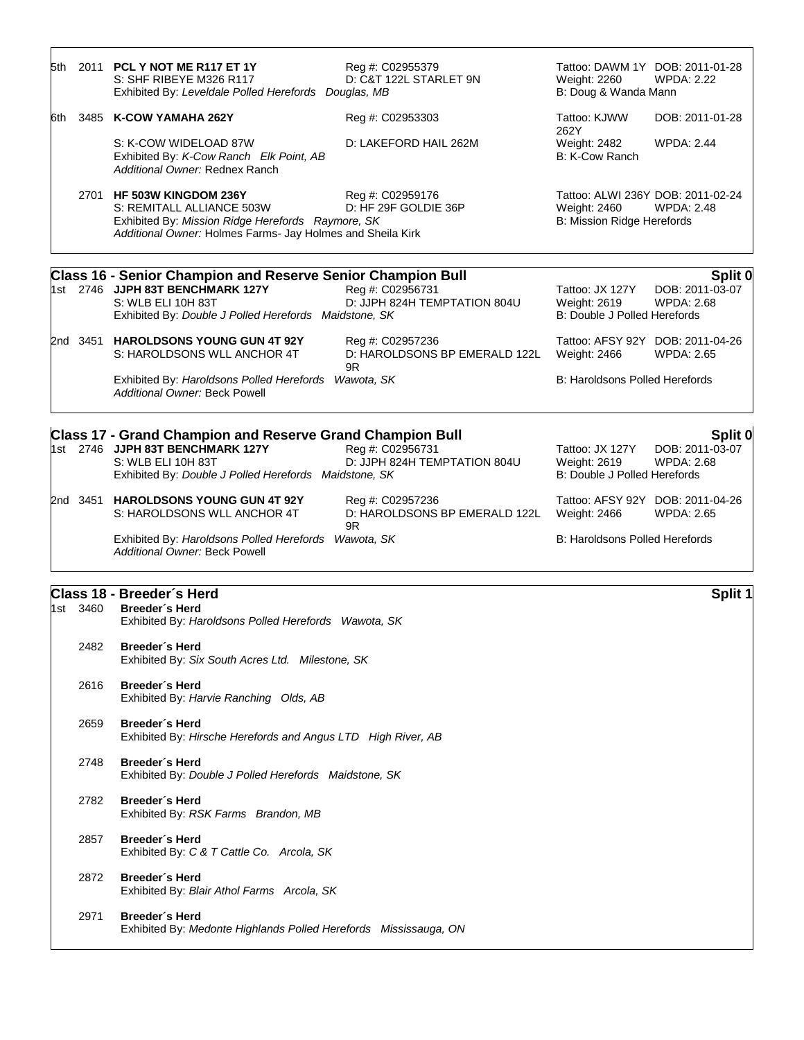| 5th  |          | 2011 PCL Y NOT ME R117 ET 1Y<br>S: SHF RIBEYE M326 R117<br>Exhibited By: Leveldale Polled Herefords Douglas, MB                                                                     | Reg #: C02955379<br>D: C&T 122L STARLET 9N              | Tattoo: DAWM 1Y DOB: 2011-01-28<br>Weight: 2260<br>B: Doug & Wanda Mann         | <b>WPDA: 2.22</b>                               |
|------|----------|-------------------------------------------------------------------------------------------------------------------------------------------------------------------------------------|---------------------------------------------------------|---------------------------------------------------------------------------------|-------------------------------------------------|
| 6th. |          | 3485 K-COW YAMAHA 262Y                                                                                                                                                              | Reg #: C02953303                                        | Tattoo: KJWW                                                                    | DOB: 2011-01-28                                 |
|      |          | S: K-COW WIDELOAD 87W<br>Exhibited By: K-Cow Ranch Elk Point, AB<br>Additional Owner: Rednex Ranch                                                                                  | D: LAKEFORD HAIL 262M                                   | 262Y<br>Weight: 2482<br>B: K-Cow Ranch                                          | <b>WPDA: 2.44</b>                               |
|      |          | 2701 HF 503W KINGDOM 236Y<br>S: REMITALL ALLIANCE 503W<br>Exhibited By: Mission Ridge Herefords Raymore, SK<br>Additional Owner: Holmes Farms- Jay Holmes and Sheila Kirk           | Reg #: C02959176<br>D: HF 29F GOLDIE 36P                | Tattoo: ALWI 236Y DOB: 2011-02-24<br>Weight: 2460<br>B: Mission Ridge Herefords | <b>WPDA: 2.48</b>                               |
|      |          | <b>Class 16 - Senior Champion and Reserve Senior Champion Bull</b>                                                                                                                  |                                                         |                                                                                 | Split 0                                         |
|      |          | 1st 2746 JJPH 83T BENCHMARK 127Y<br>S: WLB ELI 10H 83T<br>Exhibited By: Double J Polled Herefords Maidstone, SK                                                                     | Reg #: C02956731<br>D: JJPH 824H TEMPTATION 804U        | Tattoo: JX 127Y<br>Weight: 2619<br>B: Double J Polled Herefords                 | DOB: 2011-03-07<br><b>WPDA: 2.68</b>            |
|      |          | 2nd 3451 HAROLDSONS YOUNG GUN 4T 92Y<br>S: HAROLDSONS WLL ANCHOR 4T                                                                                                                 | Reg #: C02957236<br>D: HAROLDSONS BP EMERALD 122L<br>9R | Tattoo: AFSY 92Y DOB: 2011-04-26<br>Weight: 2466                                | <b>WPDA: 2.65</b>                               |
|      |          | Exhibited By: Haroldsons Polled Herefords Wawota, SK<br><b>Additional Owner: Beck Powell</b>                                                                                        |                                                         | <b>B: Haroldsons Polled Herefords</b>                                           |                                                 |
|      |          | <b>Class 17 - Grand Champion and Reserve Grand Champion Bull</b><br>1st 2746 JJPH 83T BENCHMARK 127Y<br>S: WLB ELI 10H 83T<br>Exhibited By: Double J Polled Herefords Maidstone, SK | Reg #: C02956731<br>D: JJPH 824H TEMPTATION 804U        | Tattoo: JX 127Y<br>Weight: 2619<br>B: Double J Polled Herefords                 | Split 0<br>DOB: 2011-03-07<br><b>WPDA: 2.68</b> |
|      |          | 2nd 3451 HAROLDSONS YOUNG GUN 4T 92Y<br>S: HAROLDSONS WLL ANCHOR 4T                                                                                                                 | Reg #: C02957236<br>D: HAROLDSONS BP EMERALD 122L<br>9R | Tattoo: AFSY 92Y DOB: 2011-04-26<br>Weight: 2466                                | <b>WPDA: 2.65</b>                               |
|      |          | Exhibited By: Haroldsons Polled Herefords Wawota, SK<br><b>Additional Owner: Beck Powell</b>                                                                                        |                                                         | <b>B: Haroldsons Polled Herefords</b>                                           |                                                 |
|      | 1st 3460 | Class 18 - Breeder's Herd<br>Breeder's Herd<br>Exhibited By: Haroldsons Polled Herefords Wawota, SK                                                                                 |                                                         |                                                                                 | Split 1                                         |
|      | 2482     | Breeder's Herd<br>Exhibited By: Six South Acres Ltd. Milestone, SK                                                                                                                  |                                                         |                                                                                 |                                                 |
|      | 2616     | Breeder's Herd<br>Exhibited By: Harvie Ranching Olds, AB                                                                                                                            |                                                         |                                                                                 |                                                 |
|      | 2659     | Breeder's Herd                                                                                                                                                                      |                                                         |                                                                                 |                                                 |

Exhibited By: *Hirsche Herefords and Angus LTD High River, AB*

2748 **Breeder´s Herd** Exhibited By: *Double J Polled Herefords Maidstone, SK*

- 2782 **Breeder´s Herd** Exhibited By: *RSK Farms Brandon, MB*
- 2857 **Breeder´s Herd** Exhibited By: *C & T Cattle Co. Arcola, SK*
- 2872 **Breeder´s Herd** Exhibited By: *Blair Athol Farms Arcola, SK*
- 2971 **Breeder´s Herd** Exhibited By: *Medonte Highlands Polled Herefords Mississauga, ON*